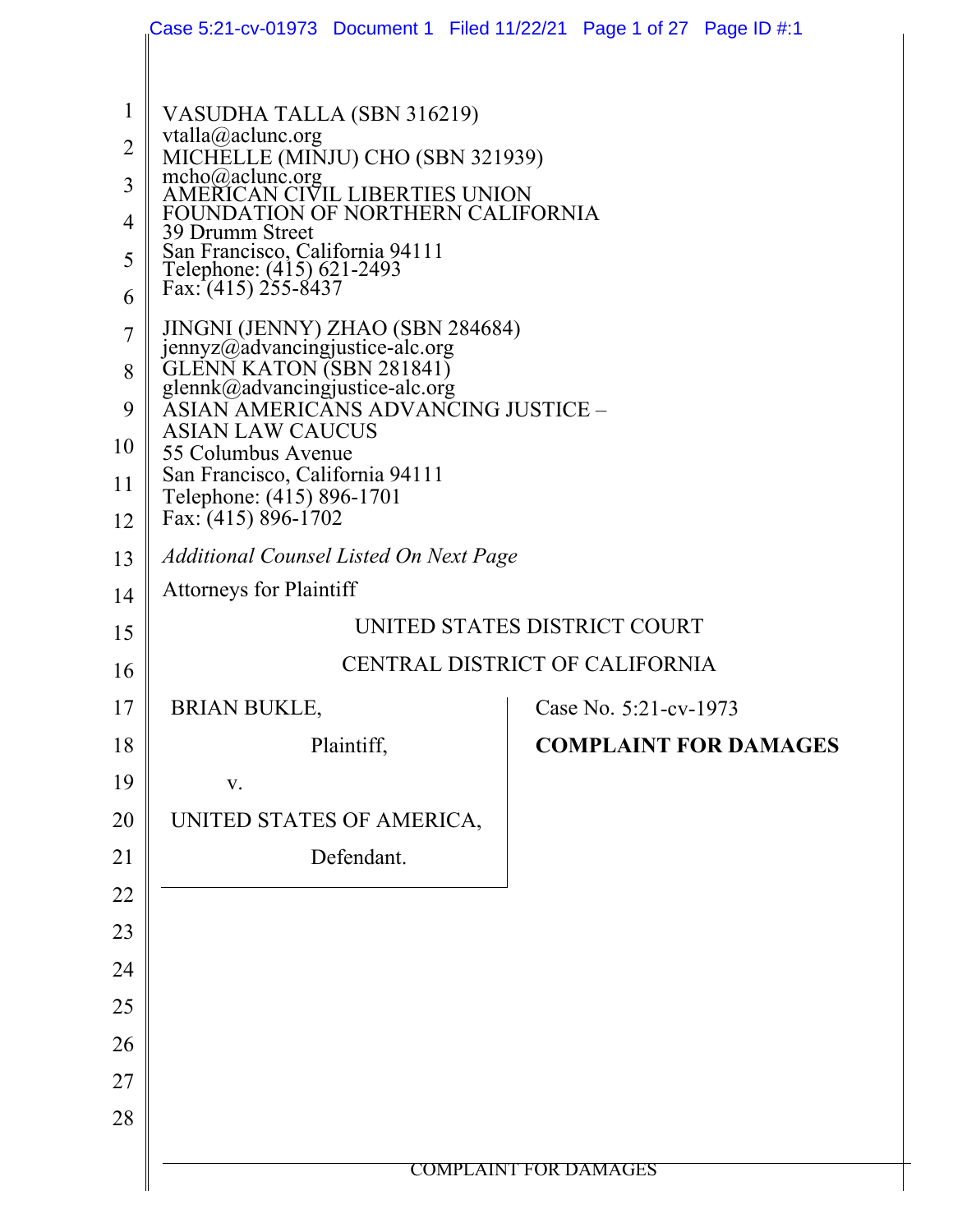|                                                                                                   | Case 5:21-cv-01973 Document 1   Filed 11/22/21   Page 1 of 27   Page ID #:1                                                                                                                                                                                                                                                                                                                                                                                                                                                                                      |                              |  |  |  |
|---------------------------------------------------------------------------------------------------|------------------------------------------------------------------------------------------------------------------------------------------------------------------------------------------------------------------------------------------------------------------------------------------------------------------------------------------------------------------------------------------------------------------------------------------------------------------------------------------------------------------------------------------------------------------|------------------------------|--|--|--|
| $\mathbf{1}$<br>$\overline{2}$<br>3<br>$\overline{4}$<br>5<br>6<br>$\overline{7}$<br>8<br>9<br>10 | VASUDHA TALLA (SBN 316219)<br>vtalla@aclunc.org<br>MICHELLE (MINJU) CHO (SBN 321939)<br>mcho@aclunc.org<br>AMERICAN CIVIL LIBERTIES UNION<br>FOUNDATION OF NORTHERN CALIFORNIA<br>39 Drumm Street<br>San Francisco, California 94111<br>Telephone: (415) 621-2493<br>Fax: (415) 255-8437<br>JINGNI (JENNY) ZHAO (SBN 284684)<br>jennyz@advancingjustice-alc.org<br><b>GLENN KATON (SBN 281841)</b><br>glennk@advancingjustice-alc.org<br>ĂSIAN AMERICĂNS ADVANCING JUSTICE –<br><b>ASIAN LAW CAUCUS</b><br>55 Columbus Avenue<br>San Francisco, California 94111 |                              |  |  |  |
| 11<br>12                                                                                          | Telephone: (415) 896-1701<br>Fax: (415) 896-1702                                                                                                                                                                                                                                                                                                                                                                                                                                                                                                                 |                              |  |  |  |
| 13                                                                                                | <b>Additional Counsel Listed On Next Page</b>                                                                                                                                                                                                                                                                                                                                                                                                                                                                                                                    |                              |  |  |  |
| 14                                                                                                | <b>Attorneys for Plaintiff</b>                                                                                                                                                                                                                                                                                                                                                                                                                                                                                                                                   |                              |  |  |  |
| 15                                                                                                | UNITED STATES DISTRICT COURT                                                                                                                                                                                                                                                                                                                                                                                                                                                                                                                                     |                              |  |  |  |
| 16                                                                                                | CENTRAL DISTRICT OF CALIFORNIA                                                                                                                                                                                                                                                                                                                                                                                                                                                                                                                                   |                              |  |  |  |
| 17                                                                                                | <b>BRIAN BUKLE,</b><br>Case No. 5:21-cv-1973                                                                                                                                                                                                                                                                                                                                                                                                                                                                                                                     |                              |  |  |  |
| 18                                                                                                | Plaintiff,                                                                                                                                                                                                                                                                                                                                                                                                                                                                                                                                                       | <b>COMPLAINT FOR DAMAGES</b> |  |  |  |
| 19                                                                                                | V.                                                                                                                                                                                                                                                                                                                                                                                                                                                                                                                                                               |                              |  |  |  |
| 20                                                                                                | UNITED STATES OF AMERICA,                                                                                                                                                                                                                                                                                                                                                                                                                                                                                                                                        |                              |  |  |  |
| 21                                                                                                | Defendant.                                                                                                                                                                                                                                                                                                                                                                                                                                                                                                                                                       |                              |  |  |  |
| 22                                                                                                |                                                                                                                                                                                                                                                                                                                                                                                                                                                                                                                                                                  |                              |  |  |  |
| 23                                                                                                |                                                                                                                                                                                                                                                                                                                                                                                                                                                                                                                                                                  |                              |  |  |  |
| 24                                                                                                |                                                                                                                                                                                                                                                                                                                                                                                                                                                                                                                                                                  |                              |  |  |  |
| 25                                                                                                |                                                                                                                                                                                                                                                                                                                                                                                                                                                                                                                                                                  |                              |  |  |  |
| 26                                                                                                |                                                                                                                                                                                                                                                                                                                                                                                                                                                                                                                                                                  |                              |  |  |  |
| 27                                                                                                |                                                                                                                                                                                                                                                                                                                                                                                                                                                                                                                                                                  |                              |  |  |  |
| 28                                                                                                |                                                                                                                                                                                                                                                                                                                                                                                                                                                                                                                                                                  |                              |  |  |  |
|                                                                                                   |                                                                                                                                                                                                                                                                                                                                                                                                                                                                                                                                                                  | <b>COMPLAINT FOR DAMAGES</b> |  |  |  |
|                                                                                                   |                                                                                                                                                                                                                                                                                                                                                                                                                                                                                                                                                                  |                              |  |  |  |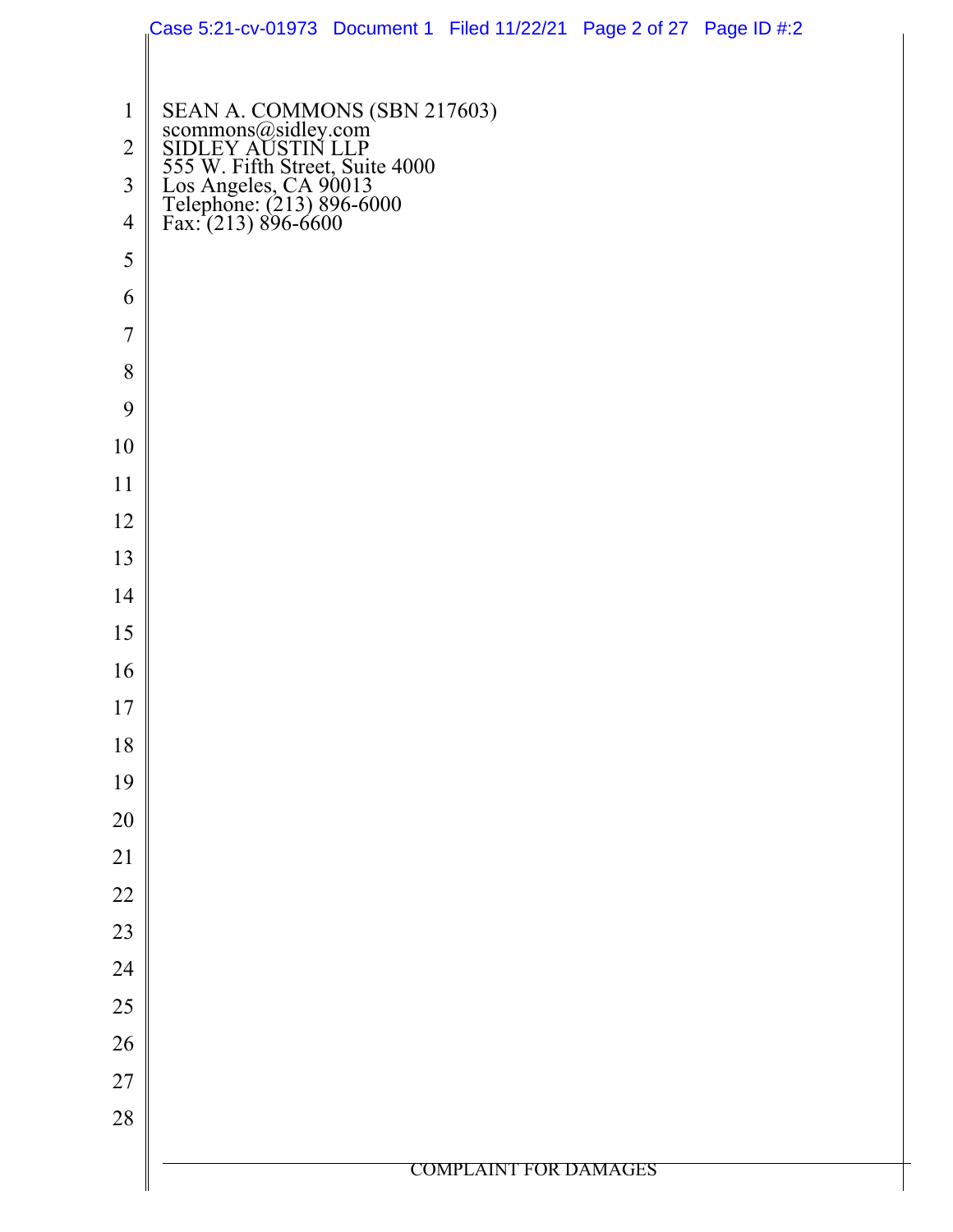|                | Case 5:21-cv-01973 Document 1 Filed 11/22/21 Page 2 of 27 Page ID #:2                                                                                                                    |                              |  |
|----------------|------------------------------------------------------------------------------------------------------------------------------------------------------------------------------------------|------------------------------|--|
|                |                                                                                                                                                                                          |                              |  |
| $\mathbf{1}$   | SEAN A. COMMONS (SBN 217603)<br>scommons@sidley.com<br>SIDLEY AUSTIN LLP<br>555 W. Fifth Street, Suite 4000<br>Los Angeles, CA 90013<br>Telephone: (213) 896-6000<br>Fax: (213) 896-6600 |                              |  |
| $\overline{2}$ |                                                                                                                                                                                          |                              |  |
| $\overline{3}$ |                                                                                                                                                                                          |                              |  |
| $\overline{4}$ |                                                                                                                                                                                          |                              |  |
| 5              |                                                                                                                                                                                          |                              |  |
| 6              |                                                                                                                                                                                          |                              |  |
| $\overline{7}$ |                                                                                                                                                                                          |                              |  |
| 8              |                                                                                                                                                                                          |                              |  |
| 9              |                                                                                                                                                                                          |                              |  |
| 10             |                                                                                                                                                                                          |                              |  |
| 11             |                                                                                                                                                                                          |                              |  |
| 12             |                                                                                                                                                                                          |                              |  |
| 13             |                                                                                                                                                                                          |                              |  |
| 14             |                                                                                                                                                                                          |                              |  |
| 15             |                                                                                                                                                                                          |                              |  |
| 16             |                                                                                                                                                                                          |                              |  |
| 17             |                                                                                                                                                                                          |                              |  |
| $18\,$         |                                                                                                                                                                                          |                              |  |
| 19             |                                                                                                                                                                                          |                              |  |
| 20             |                                                                                                                                                                                          |                              |  |
| 21             |                                                                                                                                                                                          |                              |  |
| $22\,$         |                                                                                                                                                                                          |                              |  |
| 23             |                                                                                                                                                                                          |                              |  |
| 24             |                                                                                                                                                                                          |                              |  |
| 25             |                                                                                                                                                                                          |                              |  |
| 26             |                                                                                                                                                                                          |                              |  |
| $27\,$         |                                                                                                                                                                                          |                              |  |
| $28\,$         |                                                                                                                                                                                          |                              |  |
|                |                                                                                                                                                                                          | <b>COMPLAINT FOR DAMAGES</b> |  |
|                |                                                                                                                                                                                          |                              |  |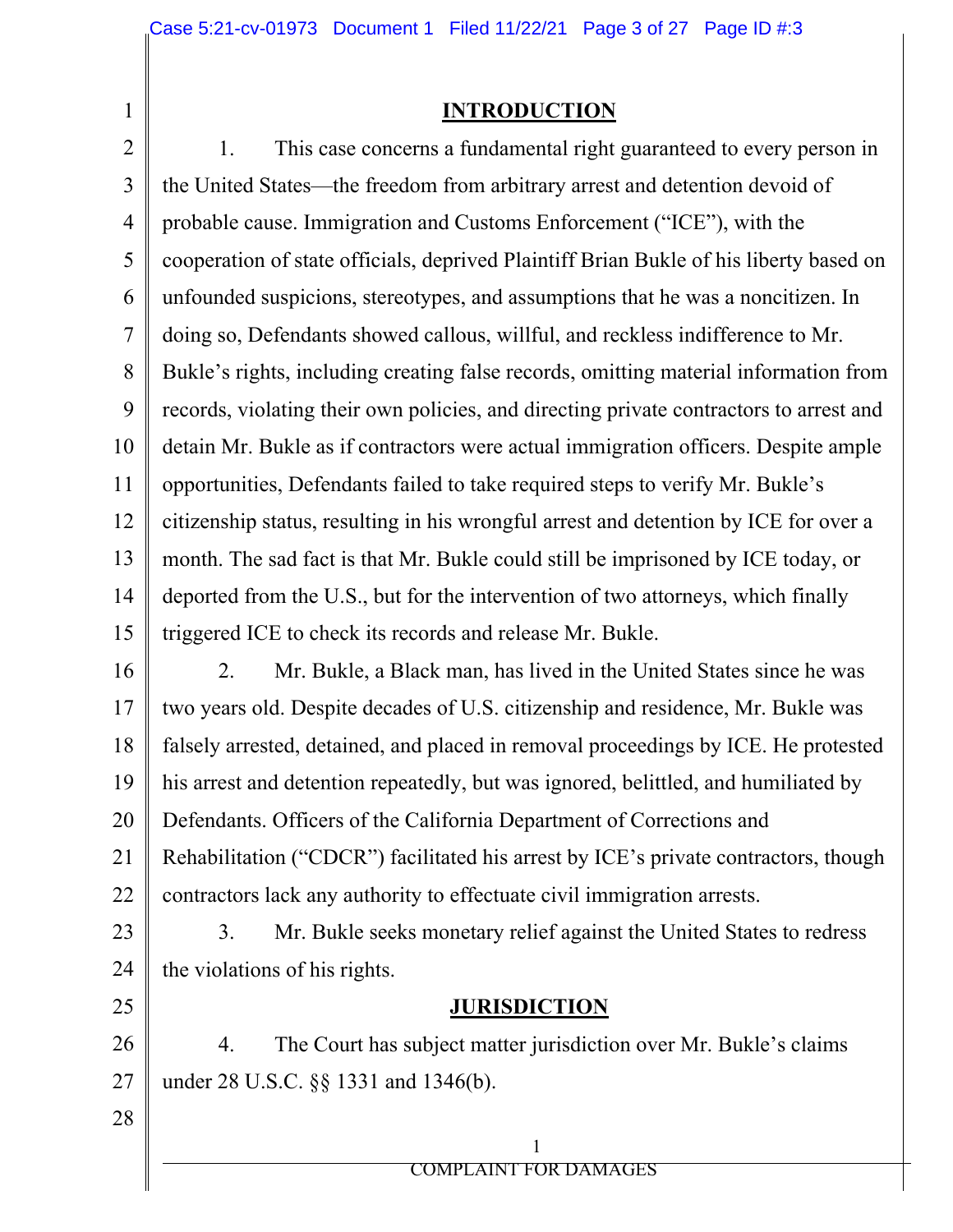1

### **INTRODUCTION**

2 3 4 5 6 7 8 9 10 11 12 13 14 15 1. This case concerns a fundamental right guaranteed to every person in the United States—the freedom from arbitrary arrest and detention devoid of probable cause. Immigration and Customs Enforcement ("ICE"), with the cooperation of state officials, deprived Plaintiff Brian Bukle of his liberty based on unfounded suspicions, stereotypes, and assumptions that he was a noncitizen. In doing so, Defendants showed callous, willful, and reckless indifference to Mr. Bukle's rights, including creating false records, omitting material information from records, violating their own policies, and directing private contractors to arrest and detain Mr. Bukle as if contractors were actual immigration officers. Despite ample opportunities, Defendants failed to take required steps to verify Mr. Bukle's citizenship status, resulting in his wrongful arrest and detention by ICE for over a month. The sad fact is that Mr. Bukle could still be imprisoned by ICE today, or deported from the U.S., but for the intervention of two attorneys, which finally triggered ICE to check its records and release Mr. Bukle.

16 17 18 19 20 21 22 2. Mr. Bukle, a Black man, has lived in the United States since he was two years old. Despite decades of U.S. citizenship and residence, Mr. Bukle was falsely arrested, detained, and placed in removal proceedings by ICE. He protested his arrest and detention repeatedly, but was ignored, belittled, and humiliated by Defendants. Officers of the California Department of Corrections and Rehabilitation ("CDCR") facilitated his arrest by ICE's private contractors, though contractors lack any authority to effectuate civil immigration arrests.

23 24 3. Mr. Bukle seeks monetary relief against the United States to redress the violations of his rights.

### **JURISDICTION**

26 27 4. The Court has subject matter jurisdiction over Mr. Bukle's claims under 28 U.S.C. §§ 1331 and 1346(b).

28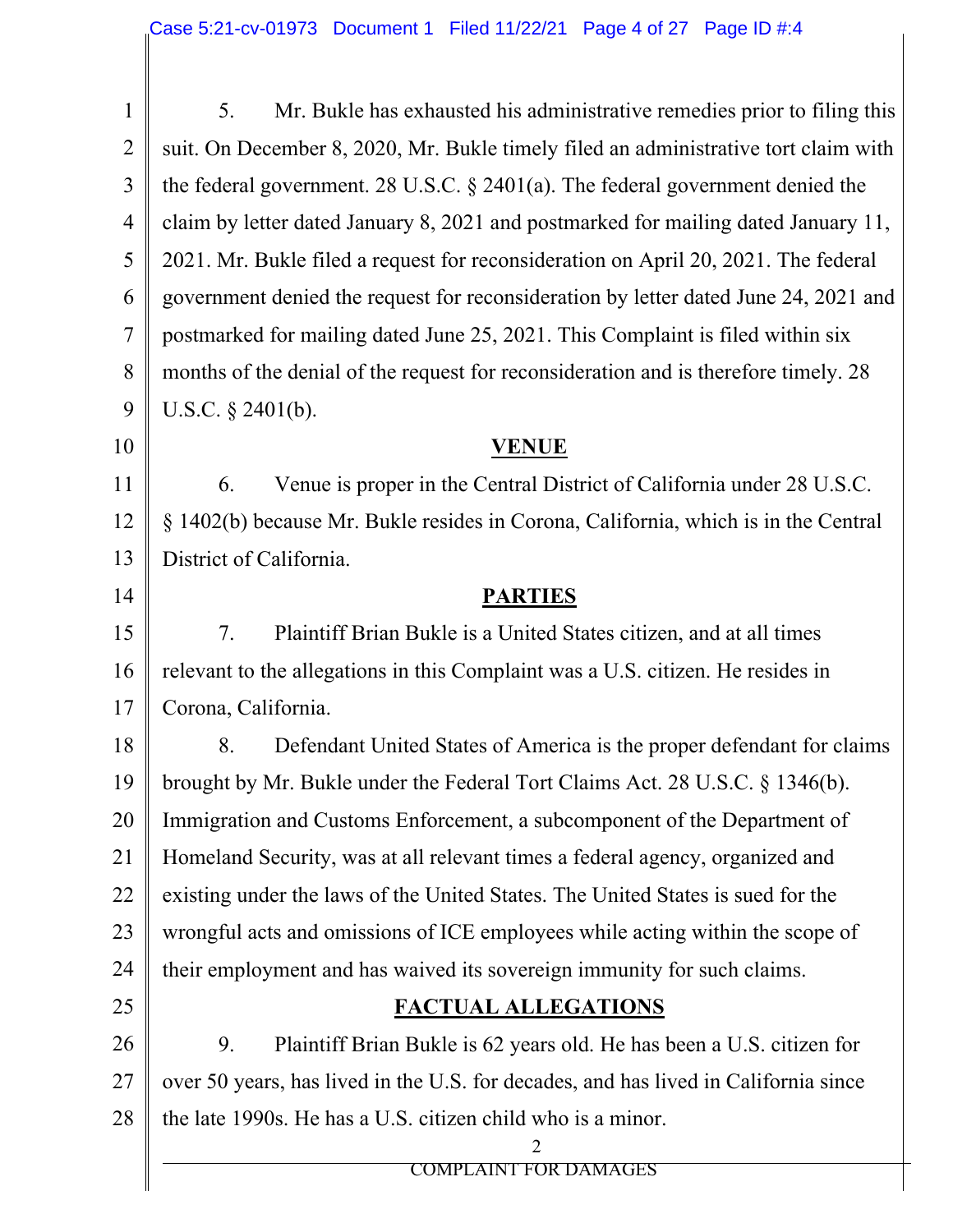| $\mathbf{1}$   | Mr. Bukle has exhausted his administrative remedies prior to filing this<br>5.      |  |  |  |  |  |
|----------------|-------------------------------------------------------------------------------------|--|--|--|--|--|
| $\overline{2}$ | suit. On December 8, 2020, Mr. Bukle timely filed an administrative tort claim with |  |  |  |  |  |
| 3              | the federal government. 28 U.S.C. $\S$ 2401(a). The federal government denied the   |  |  |  |  |  |
| $\overline{4}$ | claim by letter dated January 8, 2021 and postmarked for mailing dated January 11,  |  |  |  |  |  |
| 5              | 2021. Mr. Bukle filed a request for reconsideration on April 20, 2021. The federal  |  |  |  |  |  |
| 6              | government denied the request for reconsideration by letter dated June 24, 2021 and |  |  |  |  |  |
| 7              | postmarked for mailing dated June 25, 2021. This Complaint is filed within six      |  |  |  |  |  |
| 8              | months of the denial of the request for reconsideration and is therefore timely. 28 |  |  |  |  |  |
| 9              | U.S.C. $\S$ 2401(b).                                                                |  |  |  |  |  |
| 10             | <b>VENUE</b>                                                                        |  |  |  |  |  |
| 11             | Venue is proper in the Central District of California under 28 U.S.C.<br>6.         |  |  |  |  |  |
| 12             | § 1402(b) because Mr. Bukle resides in Corona, California, which is in the Central  |  |  |  |  |  |
| 13             | District of California.                                                             |  |  |  |  |  |
| 14             | <b>PARTIES</b>                                                                      |  |  |  |  |  |
| 15             | 7.<br>Plaintiff Brian Bukle is a United States citizen, and at all times            |  |  |  |  |  |
| 16             | relevant to the allegations in this Complaint was a U.S. citizen. He resides in     |  |  |  |  |  |
| 17             | Corona, California.                                                                 |  |  |  |  |  |
| 18             | Defendant United States of America is the proper defendant for claims<br>8.         |  |  |  |  |  |
| 19             | brought by Mr. Bukle under the Federal Tort Claims Act. 28 U.S.C. § 1346(b).        |  |  |  |  |  |
| 20             | Immigration and Customs Enforcement, a subcomponent of the Department of            |  |  |  |  |  |
| 21             | Homeland Security, was at all relevant times a federal agency, organized and        |  |  |  |  |  |
| 22             | existing under the laws of the United States. The United States is sued for the     |  |  |  |  |  |
| 23             | wrongful acts and omissions of ICE employees while acting within the scope of       |  |  |  |  |  |
| 24             | their employment and has waived its sovereign immunity for such claims.             |  |  |  |  |  |
| 25             | <b>FACTUAL ALLEGATIONS</b>                                                          |  |  |  |  |  |
| 26             | Plaintiff Brian Bukle is 62 years old. He has been a U.S. citizen for<br>9.         |  |  |  |  |  |
| 27             | over 50 years, has lived in the U.S. for decades, and has lived in California since |  |  |  |  |  |
| 28             | the late 1990s. He has a U.S. citizen child who is a minor.                         |  |  |  |  |  |
|                | 2<br><b>COMPLAINT FOR DAMAGES</b>                                                   |  |  |  |  |  |
|                |                                                                                     |  |  |  |  |  |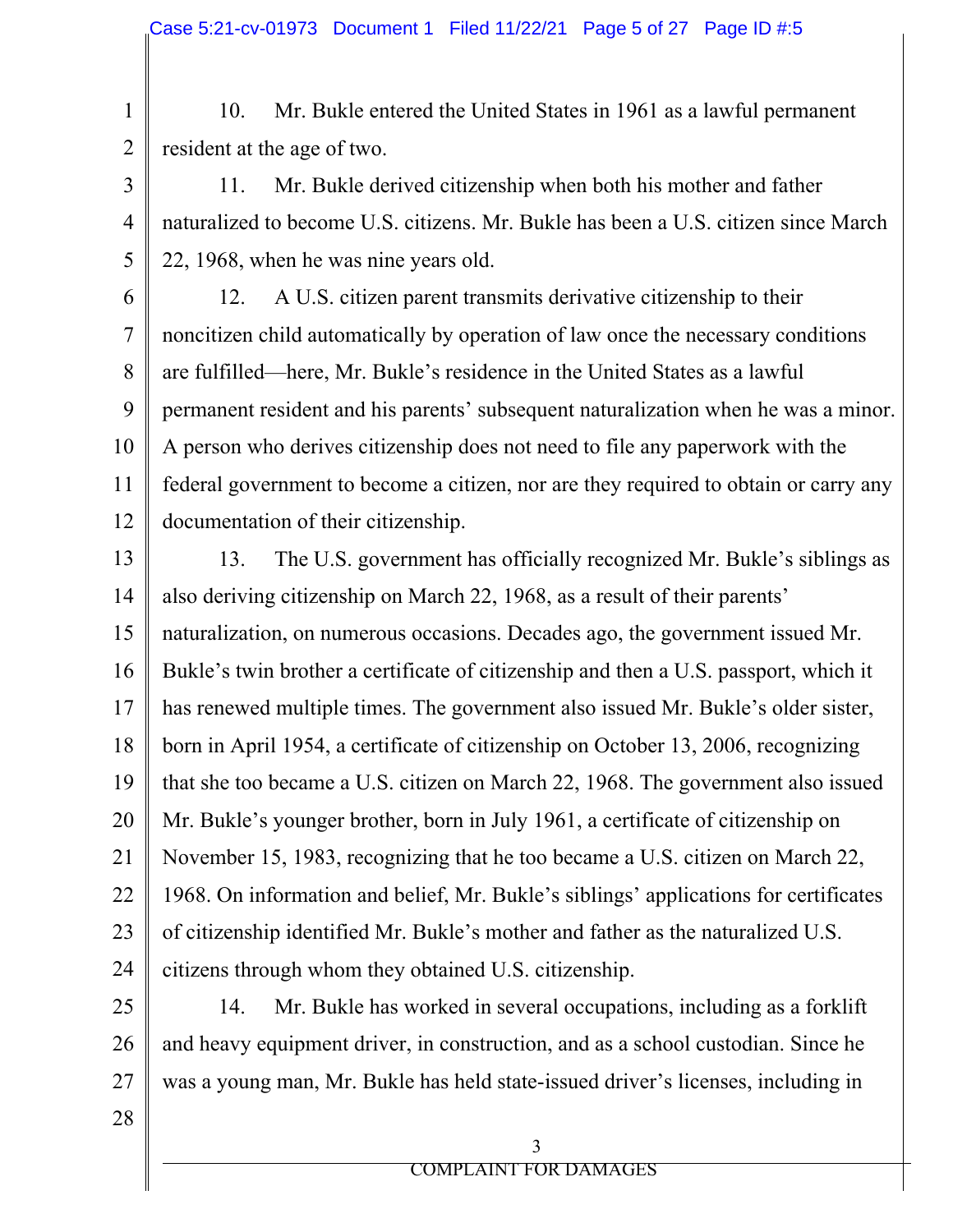1 2 10. Mr. Bukle entered the United States in 1961 as a lawful permanent resident at the age of two.

11. Mr. Bukle derived citizenship when both his mother and father naturalized to become U.S. citizens. Mr. Bukle has been a U.S. citizen since March 22, 1968, when he was nine years old.

6 7 8 9 10 11 12 12. A U.S. citizen parent transmits derivative citizenship to their noncitizen child automatically by operation of law once the necessary conditions are fulfilled—here, Mr. Bukle's residence in the United States as a lawful permanent resident and his parents' subsequent naturalization when he was a minor. A person who derives citizenship does not need to file any paperwork with the federal government to become a citizen, nor are they required to obtain or carry any documentation of their citizenship.

13 14 15 16 17 18 19 20 21 22 23 24 13. The U.S. government has officially recognized Mr. Bukle's siblings as also deriving citizenship on March 22, 1968, as a result of their parents' naturalization, on numerous occasions. Decades ago, the government issued Mr. Bukle's twin brother a certificate of citizenship and then a U.S. passport, which it has renewed multiple times. The government also issued Mr. Bukle's older sister, born in April 1954, a certificate of citizenship on October 13, 2006, recognizing that she too became a U.S. citizen on March 22, 1968. The government also issued Mr. Bukle's younger brother, born in July 1961, a certificate of citizenship on November 15, 1983, recognizing that he too became a U.S. citizen on March 22, 1968. On information and belief, Mr. Bukle's siblings' applications for certificates of citizenship identified Mr. Bukle's mother and father as the naturalized U.S. citizens through whom they obtained U.S. citizenship.

25 26 27 14. Mr. Bukle has worked in several occupations, including as a forklift and heavy equipment driver, in construction, and as a school custodian. Since he was a young man, Mr. Bukle has held state-issued driver's licenses, including in

28

3

4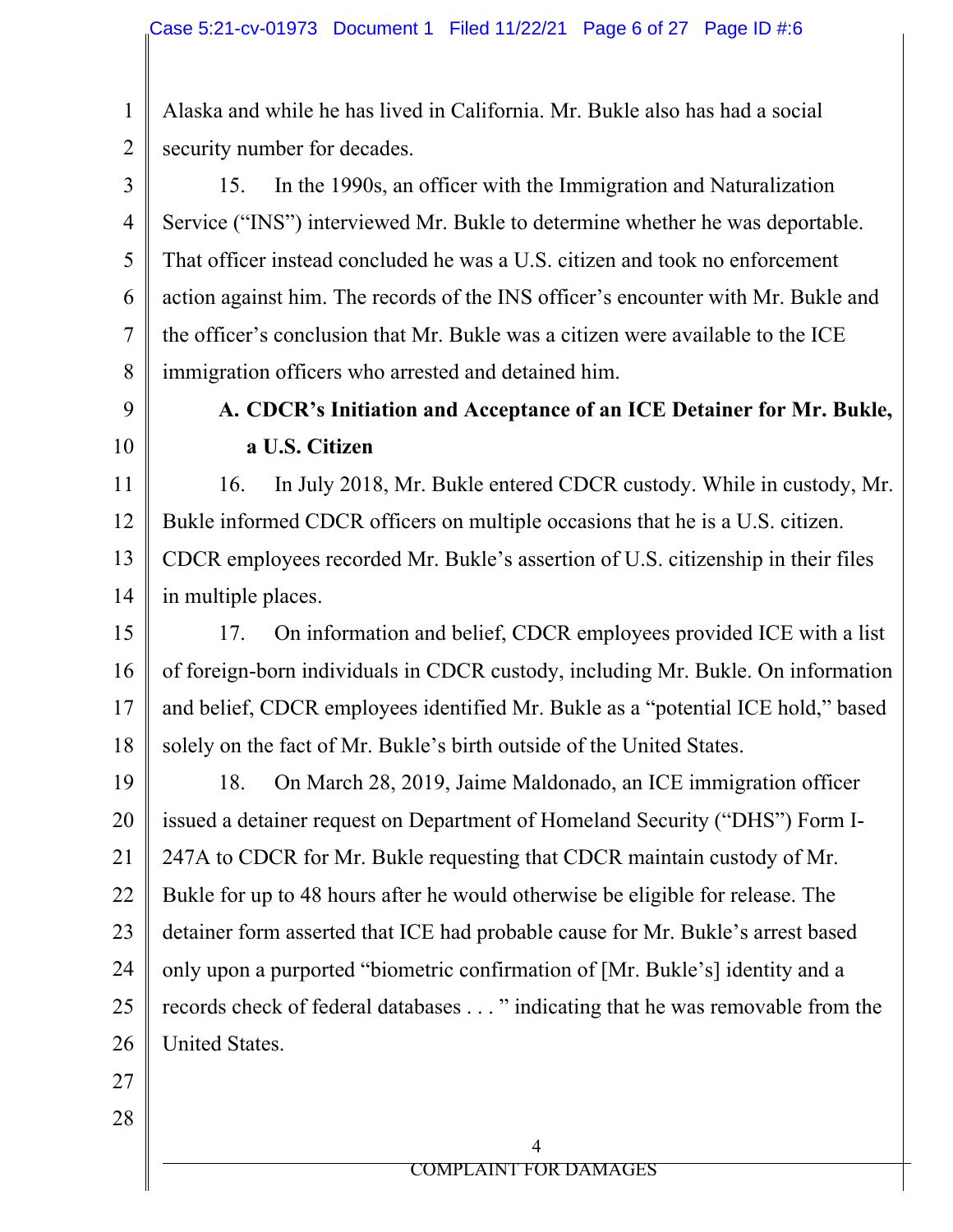1 2 Alaska and while he has lived in California. Mr. Bukle also has had a social security number for decades.

3 4 5 6 7 8 15. In the 1990s, an officer with the Immigration and Naturalization Service ("INS") interviewed Mr. Bukle to determine whether he was deportable. That officer instead concluded he was a U.S. citizen and took no enforcement action against him. The records of the INS officer's encounter with Mr. Bukle and the officer's conclusion that Mr. Bukle was a citizen were available to the ICE immigration officers who arrested and detained him.

9 10

# **A. CDCR's Initiation and Acceptance of an ICE Detainer for Mr. Bukle, a U.S. Citizen**

11 12 13 14 16. In July 2018, Mr. Bukle entered CDCR custody. While in custody, Mr. Bukle informed CDCR officers on multiple occasions that he is a U.S. citizen. CDCR employees recorded Mr. Bukle's assertion of U.S. citizenship in their files in multiple places.

15 16 17 18 17. On information and belief, CDCR employees provided ICE with a list of foreign-born individuals in CDCR custody, including Mr. Bukle. On information and belief, CDCR employees identified Mr. Bukle as a "potential ICE hold," based solely on the fact of Mr. Bukle's birth outside of the United States.

19 20 21 22 23 24 25 26 18. On March 28, 2019, Jaime Maldonado, an ICE immigration officer issued a detainer request on Department of Homeland Security ("DHS") Form I-247A to CDCR for Mr. Bukle requesting that CDCR maintain custody of Mr. Bukle for up to 48 hours after he would otherwise be eligible for release. The detainer form asserted that ICE had probable cause for Mr. Bukle's arrest based only upon a purported "biometric confirmation of [Mr. Bukle's] identity and a records check of federal databases . . . " indicating that he was removable from the United States.

27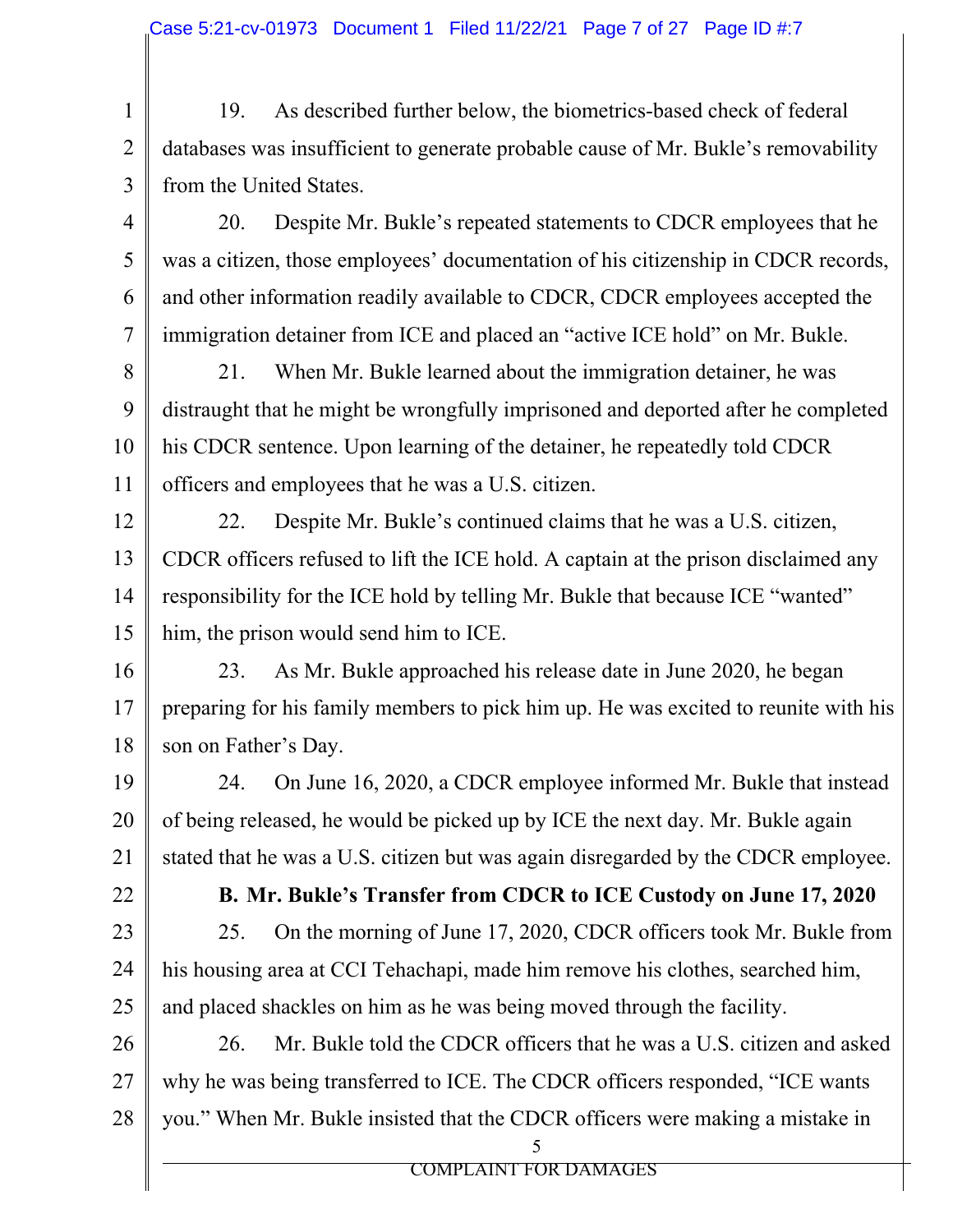19. As described further below, the biometrics-based check of federal databases was insufficient to generate probable cause of Mr. Bukle's removability from the United States.

20. Despite Mr. Bukle's repeated statements to CDCR employees that he was a citizen, those employees' documentation of his citizenship in CDCR records, and other information readily available to CDCR, CDCR employees accepted the immigration detainer from ICE and placed an "active ICE hold" on Mr. Bukle.

8 9 10 11 21. When Mr. Bukle learned about the immigration detainer, he was distraught that he might be wrongfully imprisoned and deported after he completed his CDCR sentence. Upon learning of the detainer, he repeatedly told CDCR officers and employees that he was a U.S. citizen.

12 13 14 15 22. Despite Mr. Bukle's continued claims that he was a U.S. citizen, CDCR officers refused to lift the ICE hold. A captain at the prison disclaimed any responsibility for the ICE hold by telling Mr. Bukle that because ICE "wanted" him, the prison would send him to ICE.

16 17 18 23. As Mr. Bukle approached his release date in June 2020, he began preparing for his family members to pick him up. He was excited to reunite with his son on Father's Day.

19 20 21 24. On June 16, 2020, a CDCR employee informed Mr. Bukle that instead of being released, he would be picked up by ICE the next day. Mr. Bukle again stated that he was a U.S. citizen but was again disregarded by the CDCR employee.

22

1

2

3

4

5

6

7

23

**B. Mr. Bukle's Transfer from CDCR to ICE Custody on June 17, 2020** 

24 25 25. On the morning of June 17, 2020, CDCR officers took Mr. Bukle from his housing area at CCI Tehachapi, made him remove his clothes, searched him, and placed shackles on him as he was being moved through the facility.

26 27 28 26. Mr. Bukle told the CDCR officers that he was a U.S. citizen and asked why he was being transferred to ICE. The CDCR officers responded, "ICE wants you." When Mr. Bukle insisted that the CDCR officers were making a mistake in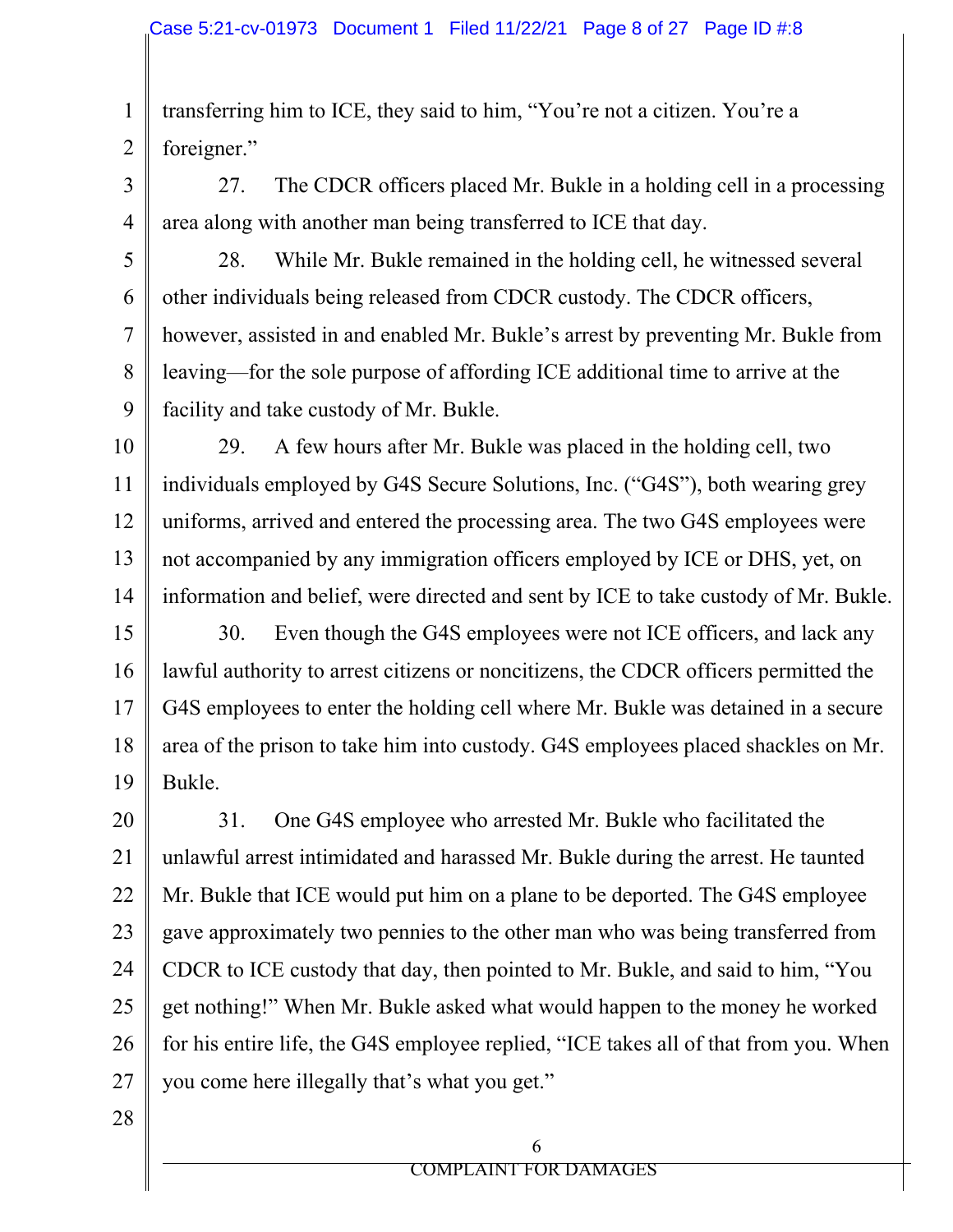1 2 transferring him to ICE, they said to him, "You're not a citizen. You're a foreigner."

3

4

27. The CDCR officers placed Mr. Bukle in a holding cell in a processing area along with another man being transferred to ICE that day.

5 6 7 8 9 28. While Mr. Bukle remained in the holding cell, he witnessed several other individuals being released from CDCR custody. The CDCR officers, however, assisted in and enabled Mr. Bukle's arrest by preventing Mr. Bukle from leaving—for the sole purpose of affording ICE additional time to arrive at the facility and take custody of Mr. Bukle.

10 11 12 13 14 29. A few hours after Mr. Bukle was placed in the holding cell, two individuals employed by G4S Secure Solutions, Inc. ("G4S"), both wearing grey uniforms, arrived and entered the processing area. The two G4S employees were not accompanied by any immigration officers employed by ICE or DHS, yet, on information and belief, were directed and sent by ICE to take custody of Mr. Bukle.

15 16 17 18 19 30. Even though the G4S employees were not ICE officers, and lack any lawful authority to arrest citizens or noncitizens, the CDCR officers permitted the G4S employees to enter the holding cell where Mr. Bukle was detained in a secure area of the prison to take him into custody. G4S employees placed shackles on Mr. Bukle.

20 21 22 23 24 25 26 27 31. One G4S employee who arrested Mr. Bukle who facilitated the unlawful arrest intimidated and harassed Mr. Bukle during the arrest. He taunted Mr. Bukle that ICE would put him on a plane to be deported. The G4S employee gave approximately two pennies to the other man who was being transferred from CDCR to ICE custody that day, then pointed to Mr. Bukle, and said to him, "You get nothing!" When Mr. Bukle asked what would happen to the money he worked for his entire life, the G4S employee replied, "ICE takes all of that from you. When you come here illegally that's what you get."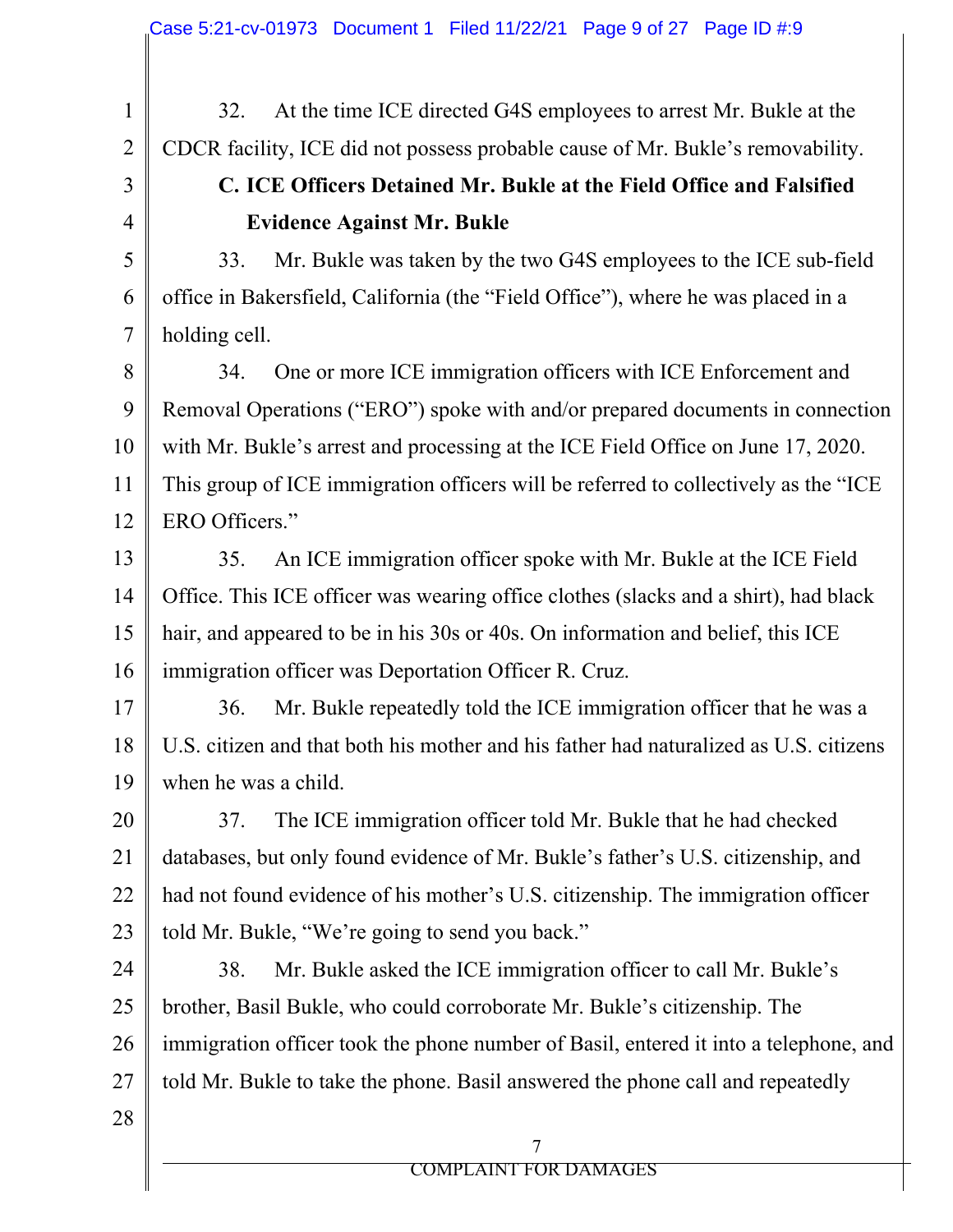32. At the time ICE directed G4S employees to arrest Mr. Bukle at the CDCR facility, ICE did not possess probable cause of Mr. Bukle's removability.

## 3 4

5

6

7

1

2

# **C. ICE Officers Detained Mr. Bukle at the Field Office and Falsified Evidence Against Mr. Bukle**

33. Mr. Bukle was taken by the two G4S employees to the ICE sub-field office in Bakersfield, California (the "Field Office"), where he was placed in a holding cell.

8 9 10 11 12 34. One or more ICE immigration officers with ICE Enforcement and Removal Operations ("ERO") spoke with and/or prepared documents in connection with Mr. Bukle's arrest and processing at the ICE Field Office on June 17, 2020. This group of ICE immigration officers will be referred to collectively as the "ICE ERO Officers."

13 14 15 16 35. An ICE immigration officer spoke with Mr. Bukle at the ICE Field Office. This ICE officer was wearing office clothes (slacks and a shirt), had black hair, and appeared to be in his 30s or 40s. On information and belief, this ICE immigration officer was Deportation Officer R. Cruz.

17 18 19 36. Mr. Bukle repeatedly told the ICE immigration officer that he was a U.S. citizen and that both his mother and his father had naturalized as U.S. citizens when he was a child.

20 21 22 23 37. The ICE immigration officer told Mr. Bukle that he had checked databases, but only found evidence of Mr. Bukle's father's U.S. citizenship, and had not found evidence of his mother's U.S. citizenship. The immigration officer told Mr. Bukle, "We're going to send you back."

24 25 26 27 38. Mr. Bukle asked the ICE immigration officer to call Mr. Bukle's brother, Basil Bukle, who could corroborate Mr. Bukle's citizenship. The immigration officer took the phone number of Basil, entered it into a telephone, and told Mr. Bukle to take the phone. Basil answered the phone call and repeatedly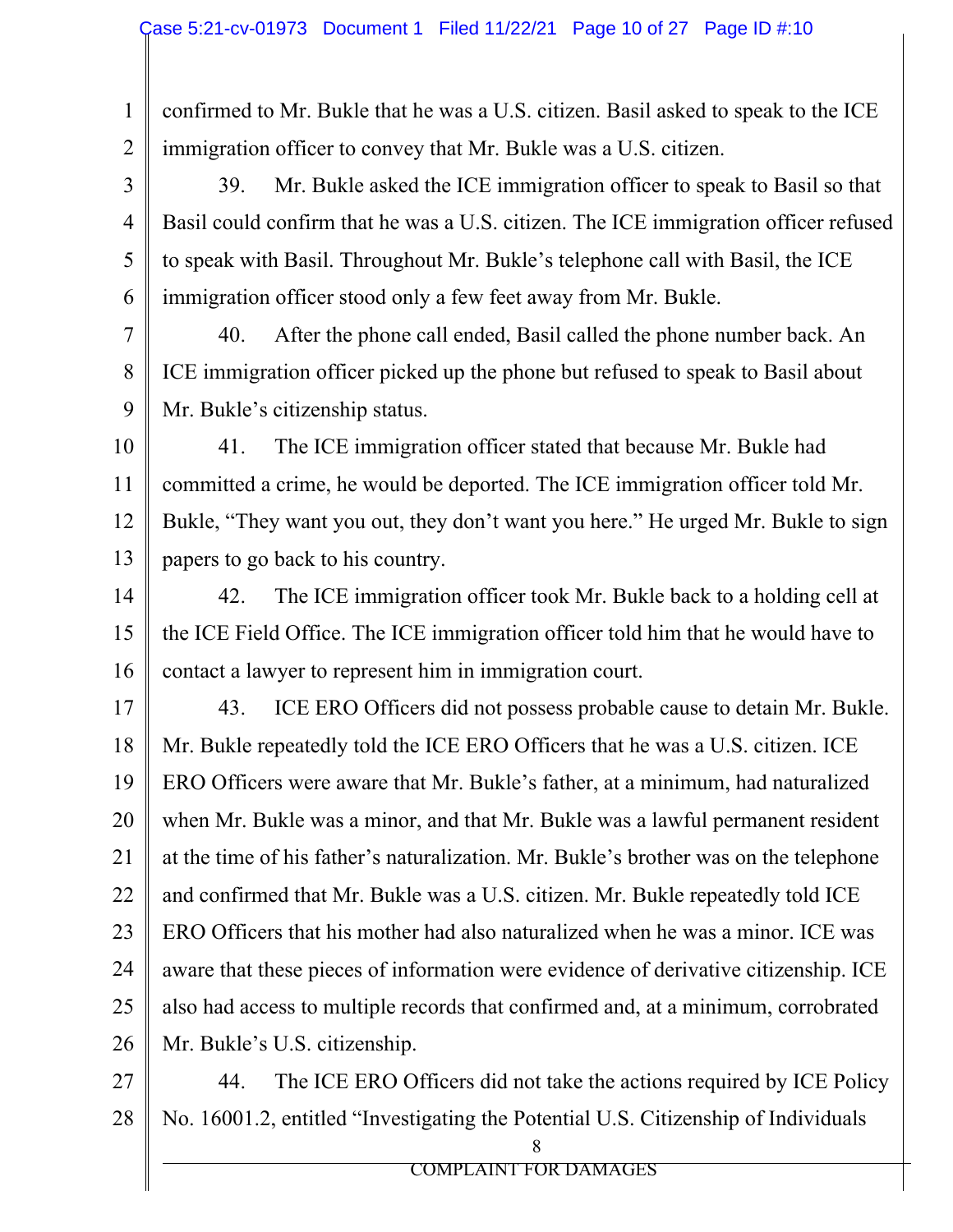1 2 confirmed to Mr. Bukle that he was a U.S. citizen. Basil asked to speak to the ICE immigration officer to convey that Mr. Bukle was a U.S. citizen.

3 4 5 6 39. Mr. Bukle asked the ICE immigration officer to speak to Basil so that Basil could confirm that he was a U.S. citizen. The ICE immigration officer refused to speak with Basil. Throughout Mr. Bukle's telephone call with Basil, the ICE immigration officer stood only a few feet away from Mr. Bukle.

7 8 9 40. After the phone call ended, Basil called the phone number back. An ICE immigration officer picked up the phone but refused to speak to Basil about Mr. Bukle's citizenship status.

10 11 12 13 41. The ICE immigration officer stated that because Mr. Bukle had committed a crime, he would be deported. The ICE immigration officer told Mr. Bukle, "They want you out, they don't want you here." He urged Mr. Bukle to sign papers to go back to his country.

14 15 16 42. The ICE immigration officer took Mr. Bukle back to a holding cell at the ICE Field Office. The ICE immigration officer told him that he would have to contact a lawyer to represent him in immigration court.

17 18 19 20 21 22 23 24 25 26 43. ICE ERO Officers did not possess probable cause to detain Mr. Bukle. Mr. Bukle repeatedly told the ICE ERO Officers that he was a U.S. citizen. ICE ERO Officers were aware that Mr. Bukle's father, at a minimum, had naturalized when Mr. Bukle was a minor, and that Mr. Bukle was a lawful permanent resident at the time of his father's naturalization. Mr. Bukle's brother was on the telephone and confirmed that Mr. Bukle was a U.S. citizen. Mr. Bukle repeatedly told ICE ERO Officers that his mother had also naturalized when he was a minor. ICE was aware that these pieces of information were evidence of derivative citizenship. ICE also had access to multiple records that confirmed and, at a minimum, corrobrated Mr. Bukle's U.S. citizenship.

27 28 8 44. The ICE ERO Officers did not take the actions required by ICE Policy No. 16001.2, entitled "Investigating the Potential U.S. Citizenship of Individuals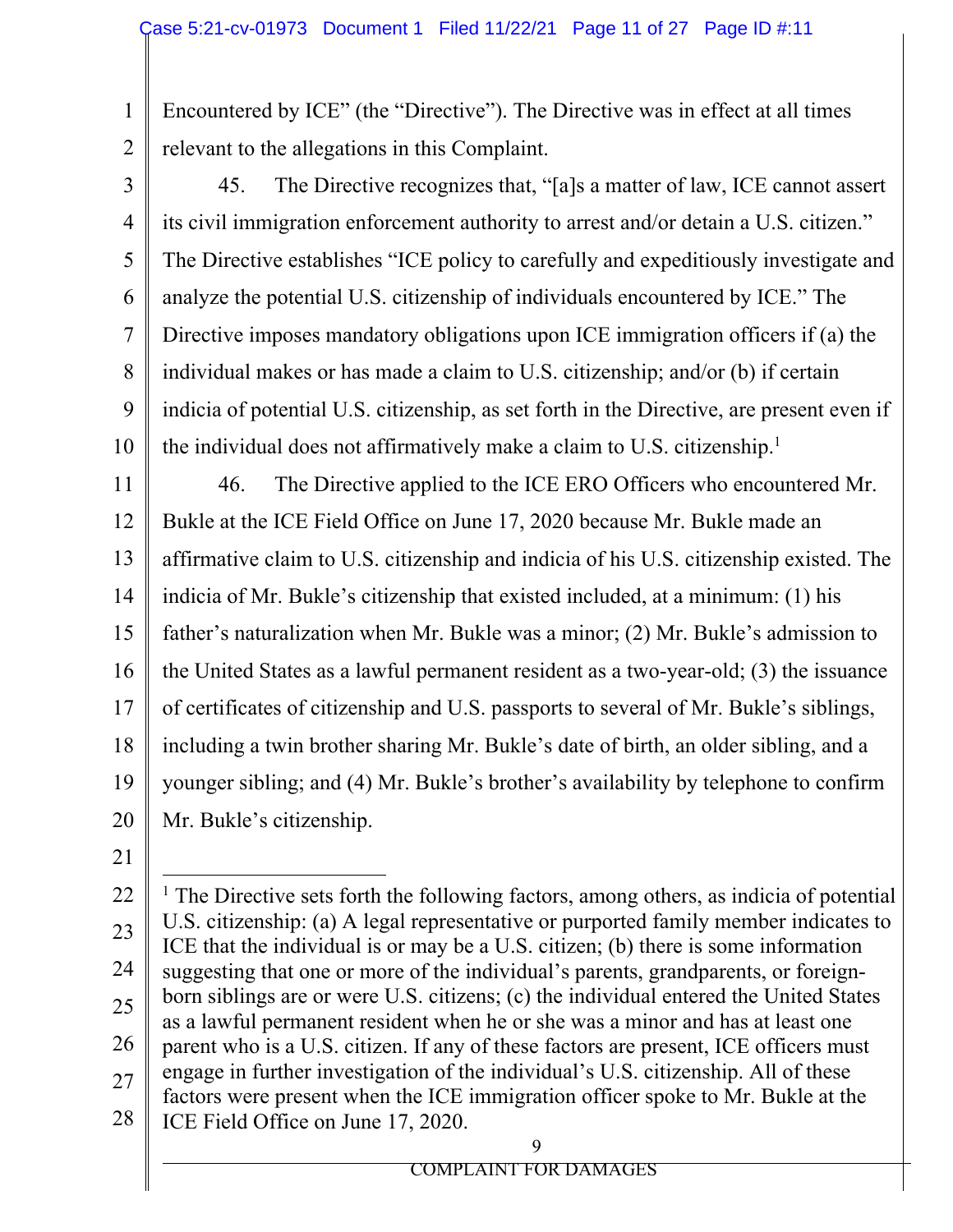Encountered by ICE" (the "Directive"). The Directive was in effect at all times relevant to the allegations in this Complaint.

2 3

1

4 5 6 7 8 9 10 45. The Directive recognizes that, "[a]s a matter of law, ICE cannot assert its civil immigration enforcement authority to arrest and/or detain a U.S. citizen." The Directive establishes "ICE policy to carefully and expeditiously investigate and analyze the potential U.S. citizenship of individuals encountered by ICE." The Directive imposes mandatory obligations upon ICE immigration officers if (a) the individual makes or has made a claim to U.S. citizenship; and/or (b) if certain indicia of potential U.S. citizenship, as set forth in the Directive, are present even if the individual does not affirmatively make a claim to U.S. citizenship.<sup>1</sup>

11 12 13 14 15 16 17 18 19 20 46. The Directive applied to the ICE ERO Officers who encountered Mr. Bukle at the ICE Field Office on June 17, 2020 because Mr. Bukle made an affirmative claim to U.S. citizenship and indicia of his U.S. citizenship existed. The indicia of Mr. Bukle's citizenship that existed included, at a minimum: (1) his father's naturalization when Mr. Bukle was a minor; (2) Mr. Bukle's admission to the United States as a lawful permanent resident as a two-year-old; (3) the issuance of certificates of citizenship and U.S. passports to several of Mr. Bukle's siblings, including a twin brother sharing Mr. Bukle's date of birth, an older sibling, and a younger sibling; and (4) Mr. Bukle's brother's availability by telephone to confirm Mr. Bukle's citizenship.

<sup>22</sup>  23 24 25 26 27 28 9 <sup>1</sup> The Directive sets forth the following factors, among others, as indicia of potential U.S. citizenship: (a) A legal representative or purported family member indicates to ICE that the individual is or may be a U.S. citizen; (b) there is some information suggesting that one or more of the individual's parents, grandparents, or foreignborn siblings are or were U.S. citizens; (c) the individual entered the United States as a lawful permanent resident when he or she was a minor and has at least one parent who is a U.S. citizen. If any of these factors are present, ICE officers must engage in further investigation of the individual's U.S. citizenship. All of these factors were present when the ICE immigration officer spoke to Mr. Bukle at the ICE Field Office on June 17, 2020.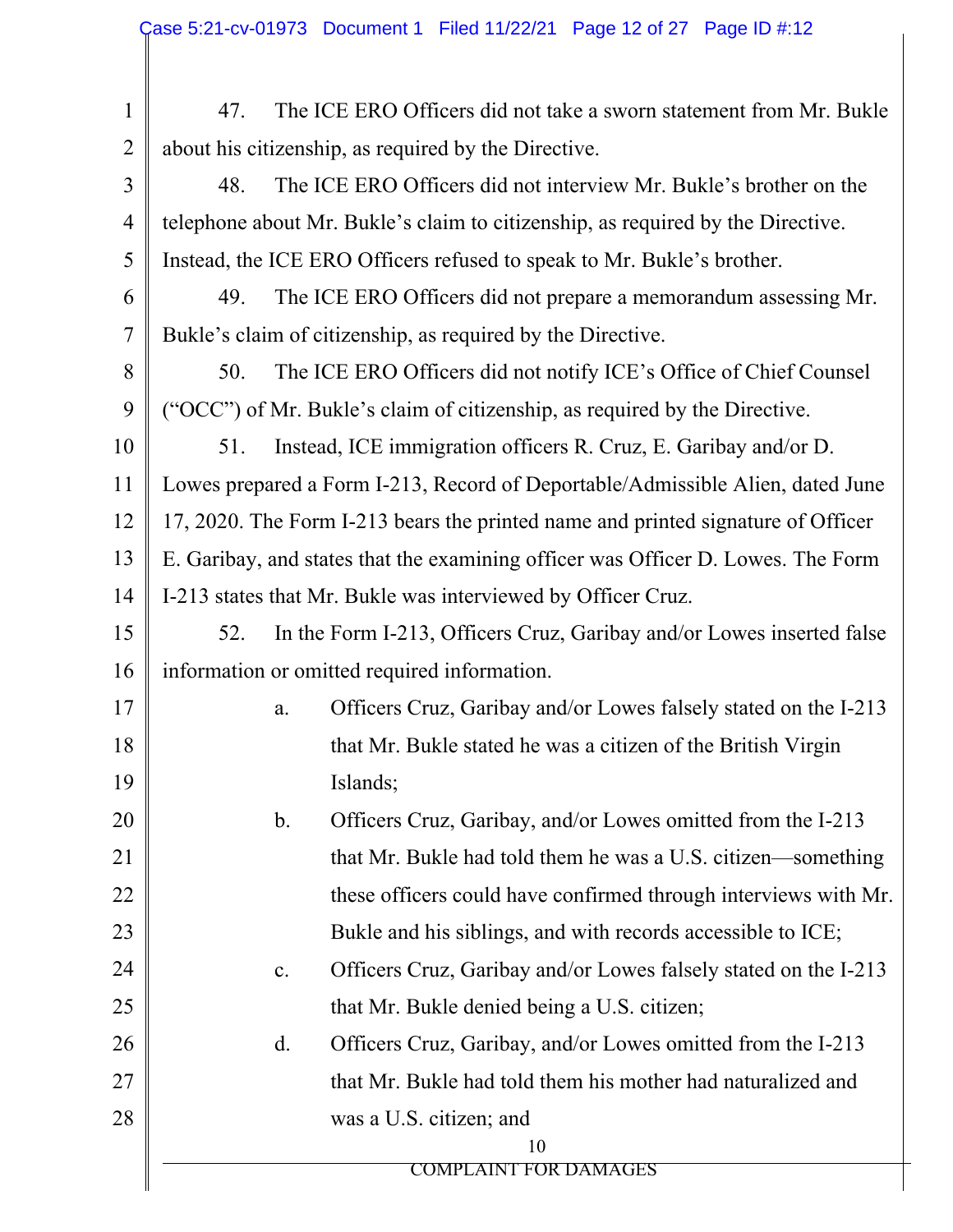| $\mathbf{1}$   | 47.                                                                              | The ICE ERO Officers did not take a sworn statement from Mr. Bukle |                                                                                 |  |
|----------------|----------------------------------------------------------------------------------|--------------------------------------------------------------------|---------------------------------------------------------------------------------|--|
| $\overline{2}$ | about his citizenship, as required by the Directive.                             |                                                                    |                                                                                 |  |
| $\overline{3}$ | 48.                                                                              |                                                                    | The ICE ERO Officers did not interview Mr. Bukle's brother on the               |  |
| 4              |                                                                                  |                                                                    | telephone about Mr. Bukle's claim to citizenship, as required by the Directive. |  |
| 5              |                                                                                  |                                                                    | Instead, the ICE ERO Officers refused to speak to Mr. Bukle's brother.          |  |
| 6              | 49.                                                                              | The ICE ERO Officers did not prepare a memorandum assessing Mr.    |                                                                                 |  |
| $\overline{7}$ |                                                                                  |                                                                    | Bukle's claim of citizenship, as required by the Directive.                     |  |
| 8              | 50.                                                                              | The ICE ERO Officers did not notify ICE's Office of Chief Counsel  |                                                                                 |  |
| 9              |                                                                                  |                                                                    | ("OCC") of Mr. Bukle's claim of citizenship, as required by the Directive.      |  |
| 10             | 51.                                                                              | Instead, ICE immigration officers R. Cruz, E. Garibay and/or D.    |                                                                                 |  |
| 11             | Lowes prepared a Form I-213, Record of Deportable/Admissible Alien, dated June   |                                                                    |                                                                                 |  |
| 12             | 17, 2020. The Form I-213 bears the printed name and printed signature of Officer |                                                                    |                                                                                 |  |
| 13             | E. Garibay, and states that the examining officer was Officer D. Lowes. The Form |                                                                    |                                                                                 |  |
| 14             | I-213 states that Mr. Bukle was interviewed by Officer Cruz.                     |                                                                    |                                                                                 |  |
| 15             | In the Form I-213, Officers Cruz, Garibay and/or Lowes inserted false<br>52.     |                                                                    |                                                                                 |  |
| 16             | information or omitted required information.                                     |                                                                    |                                                                                 |  |
| 17             |                                                                                  | a.                                                                 | Officers Cruz, Garibay and/or Lowes falsely stated on the I-213                 |  |
| 18             |                                                                                  |                                                                    | that Mr. Bukle stated he was a citizen of the British Virgin                    |  |
| 19             |                                                                                  |                                                                    | Islands;                                                                        |  |
| 20             |                                                                                  | $\mathbf b$ .                                                      | Officers Cruz, Garibay, and/or Lowes omitted from the I-213                     |  |
| 21             |                                                                                  |                                                                    | that Mr. Bukle had told them he was a U.S. citizen—something                    |  |
| 22             | these officers could have confirmed through interviews with Mr.                  |                                                                    |                                                                                 |  |
| 23             | Bukle and his siblings, and with records accessible to ICE;                      |                                                                    |                                                                                 |  |
| 24             | Officers Cruz, Garibay and/or Lowes falsely stated on the I-213<br>c.            |                                                                    |                                                                                 |  |
| 25             | that Mr. Bukle denied being a U.S. citizen;                                      |                                                                    |                                                                                 |  |
| 26             |                                                                                  | $\mathbf{d}$ .                                                     | Officers Cruz, Garibay, and/or Lowes omitted from the I-213                     |  |
| 27             | that Mr. Bukle had told them his mother had naturalized and                      |                                                                    |                                                                                 |  |
| 28             |                                                                                  |                                                                    | was a U.S. citizen; and                                                         |  |
|                |                                                                                  |                                                                    | 10<br><b>COMPLAINT FOR DAMAGES</b>                                              |  |
|                |                                                                                  |                                                                    |                                                                                 |  |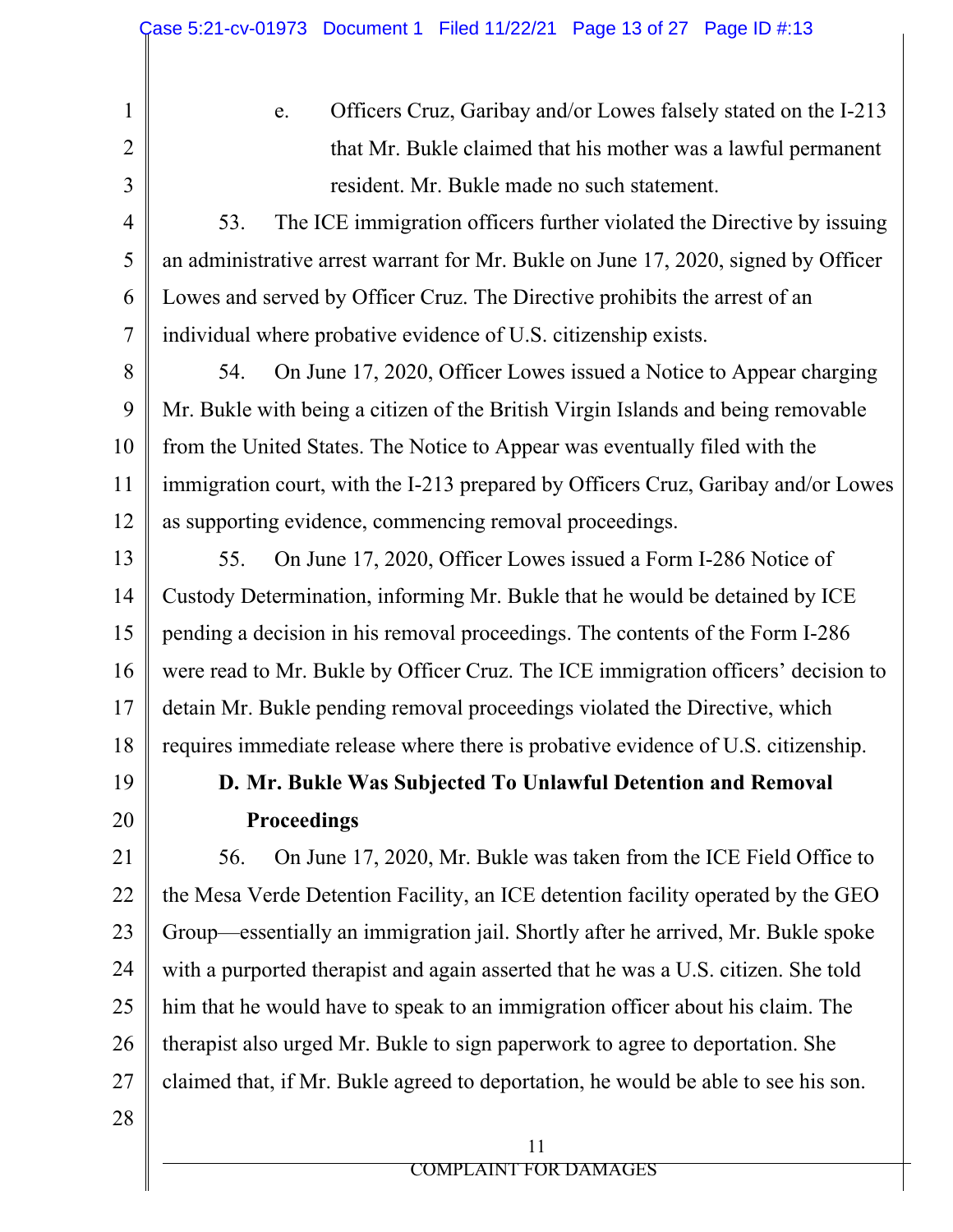e. Officers Cruz, Garibay and/or Lowes falsely stated on the I-213 that Mr. Bukle claimed that his mother was a lawful permanent resident. Mr. Bukle made no such statement. 53. The ICE immigration officers further violated the Directive by issuing an administrative arrest warrant for Mr. Bukle on June 17, 2020, signed by Officer Lowes and served by Officer Cruz. The Directive prohibits the arrest of an individual where probative evidence of U.S. citizenship exists. 54. On June 17, 2020, Officer Lowes issued a Notice to Appear charging Mr. Bukle with being a citizen of the British Virgin Islands and being removable from the United States. The Notice to Appear was eventually filed with the immigration court, with the I-213 prepared by Officers Cruz, Garibay and/or Lowes as supporting evidence, commencing removal proceedings.

13 14 15 16 17 18 55. On June 17, 2020, Officer Lowes issued a Form I-286 Notice of Custody Determination, informing Mr. Bukle that he would be detained by ICE pending a decision in his removal proceedings. The contents of the Form I-286 were read to Mr. Bukle by Officer Cruz. The ICE immigration officers' decision to detain Mr. Bukle pending removal proceedings violated the Directive, which requires immediate release where there is probative evidence of U.S. citizenship.

19

20

1

2

3

4

5

6

7

8

9

10

11

12

# **D. Mr. Bukle Was Subjected To Unlawful Detention and Removal Proceedings**

21 22 23 24 25 26 27 56. On June 17, 2020, Mr. Bukle was taken from the ICE Field Office to the Mesa Verde Detention Facility, an ICE detention facility operated by the GEO Group—essentially an immigration jail. Shortly after he arrived, Mr. Bukle spoke with a purported therapist and again asserted that he was a U.S. citizen. She told him that he would have to speak to an immigration officer about his claim. The therapist also urged Mr. Bukle to sign paperwork to agree to deportation. She claimed that, if Mr. Bukle agreed to deportation, he would be able to see his son.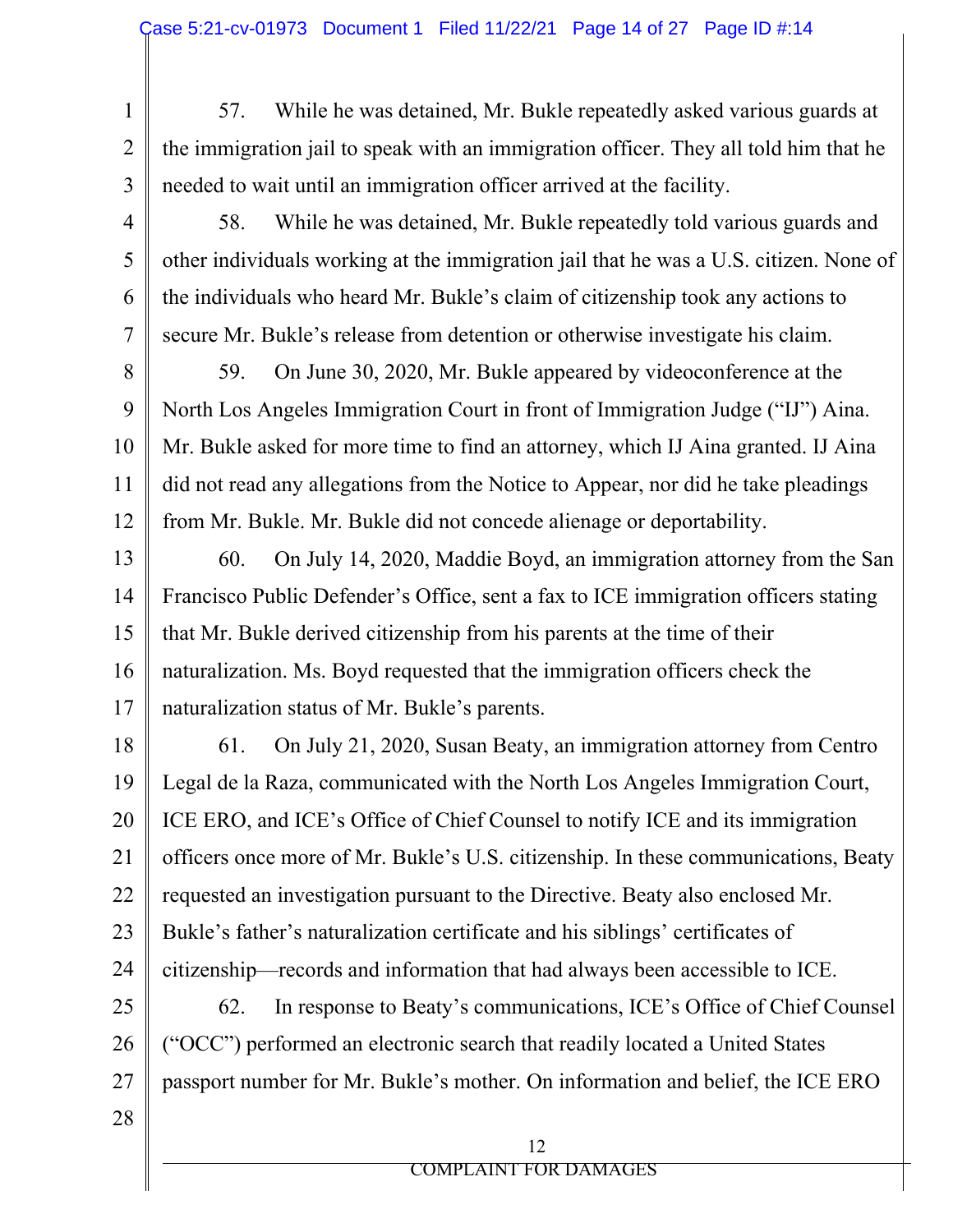4

5

6

- 1 2 3 57. While he was detained, Mr. Bukle repeatedly asked various guards at the immigration jail to speak with an immigration officer. They all told him that he needed to wait until an immigration officer arrived at the facility.
	- 58. While he was detained, Mr. Bukle repeatedly told various guards and other individuals working at the immigration jail that he was a U.S. citizen. None of the individuals who heard Mr. Bukle's claim of citizenship took any actions to secure Mr. Bukle's release from detention or otherwise investigate his claim.
- 8 9 10 11 12 59. On June 30, 2020, Mr. Bukle appeared by videoconference at the North Los Angeles Immigration Court in front of Immigration Judge ("IJ") Aina. Mr. Bukle asked for more time to find an attorney, which IJ Aina granted. IJ Aina did not read any allegations from the Notice to Appear, nor did he take pleadings from Mr. Bukle. Mr. Bukle did not concede alienage or deportability.
- 13 14 15 16 17 60. On July 14, 2020, Maddie Boyd, an immigration attorney from the San Francisco Public Defender's Office, sent a fax to ICE immigration officers stating that Mr. Bukle derived citizenship from his parents at the time of their naturalization. Ms. Boyd requested that the immigration officers check the naturalization status of Mr. Bukle's parents.
- 18 19 20 21 22 23 24 25 26 27 28 61. On July 21, 2020, Susan Beaty, an immigration attorney from Centro Legal de la Raza, communicated with the North Los Angeles Immigration Court, ICE ERO, and ICE's Office of Chief Counsel to notify ICE and its immigration officers once more of Mr. Bukle's U.S. citizenship. In these communications, Beaty requested an investigation pursuant to the Directive. Beaty also enclosed Mr. Bukle's father's naturalization certificate and his siblings' certificates of citizenship—records and information that had always been accessible to ICE. 62. In response to Beaty's communications, ICE's Office of Chief Counsel ("OCC") performed an electronic search that readily located a United States passport number for Mr. Bukle's mother. On information and belief, the ICE ERO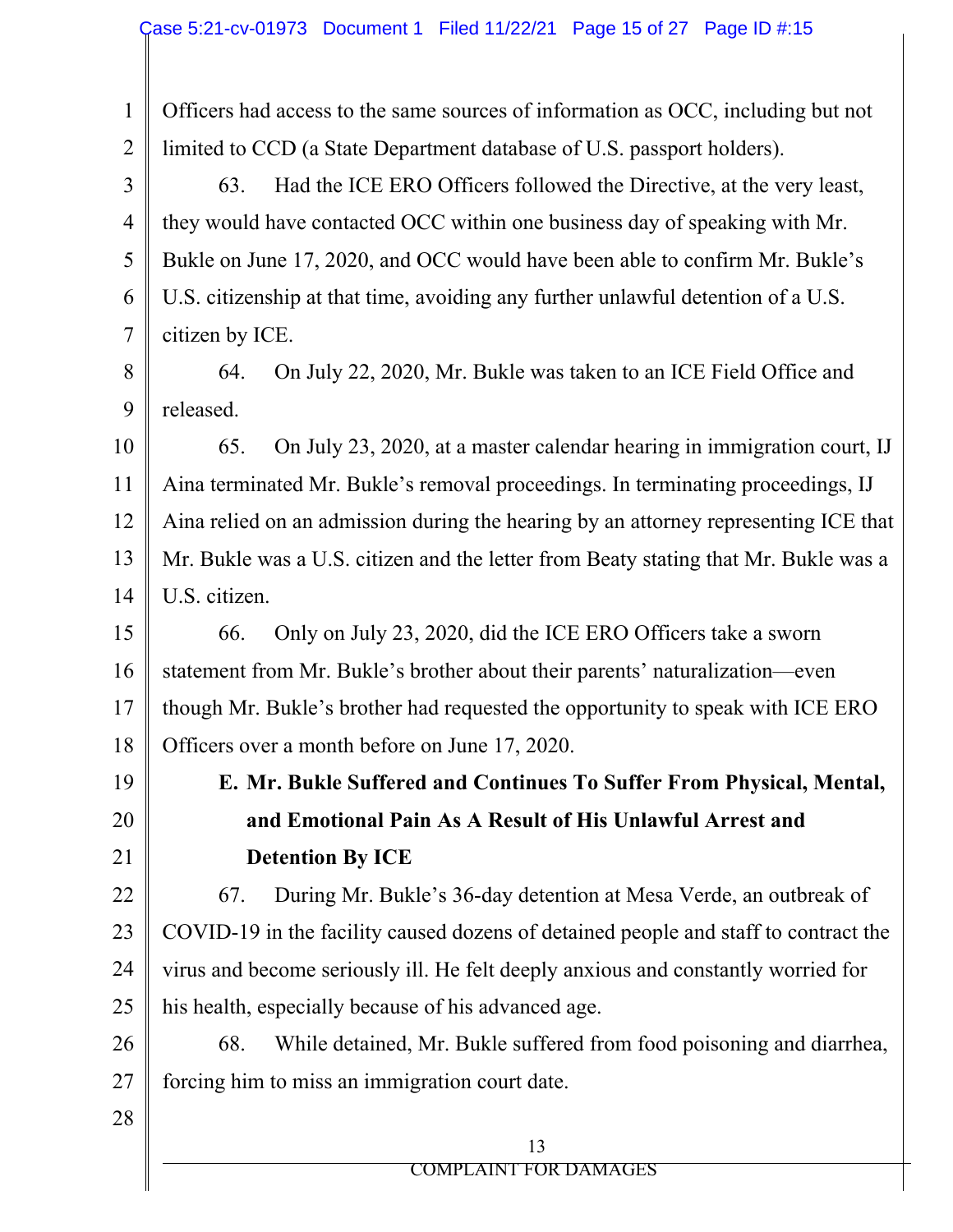1 2 Officers had access to the same sources of information as OCC, including but not limited to CCD (a State Department database of U.S. passport holders).

3 4 5 6 7 63. Had the ICE ERO Officers followed the Directive, at the very least, they would have contacted OCC within one business day of speaking with Mr. Bukle on June 17, 2020, and OCC would have been able to confirm Mr. Bukle's U.S. citizenship at that time, avoiding any further unlawful detention of a U.S. citizen by ICE.

8 9 64. On July 22, 2020, Mr. Bukle was taken to an ICE Field Office and released.

10 11 12 13 14 65. On July 23, 2020, at a master calendar hearing in immigration court, IJ Aina terminated Mr. Bukle's removal proceedings. In terminating proceedings, IJ Aina relied on an admission during the hearing by an attorney representing ICE that Mr. Bukle was a U.S. citizen and the letter from Beaty stating that Mr. Bukle was a U.S. citizen.

15 16 17 18 66. Only on July 23, 2020, did the ICE ERO Officers take a sworn statement from Mr. Bukle's brother about their parents' naturalization—even though Mr. Bukle's brother had requested the opportunity to speak with ICE ERO Officers over a month before on June 17, 2020.

- 19
- 20

21

# **E. Mr. Bukle Suffered and Continues To Suffer From Physical, Mental, and Emotional Pain As A Result of His Unlawful Arrest and Detention By ICE**

22 23 24 25 67. During Mr. Bukle's 36-day detention at Mesa Verde, an outbreak of COVID-19 in the facility caused dozens of detained people and staff to contract the virus and become seriously ill. He felt deeply anxious and constantly worried for his health, especially because of his advanced age.

26 27 68. While detained, Mr. Bukle suffered from food poisoning and diarrhea, forcing him to miss an immigration court date.

28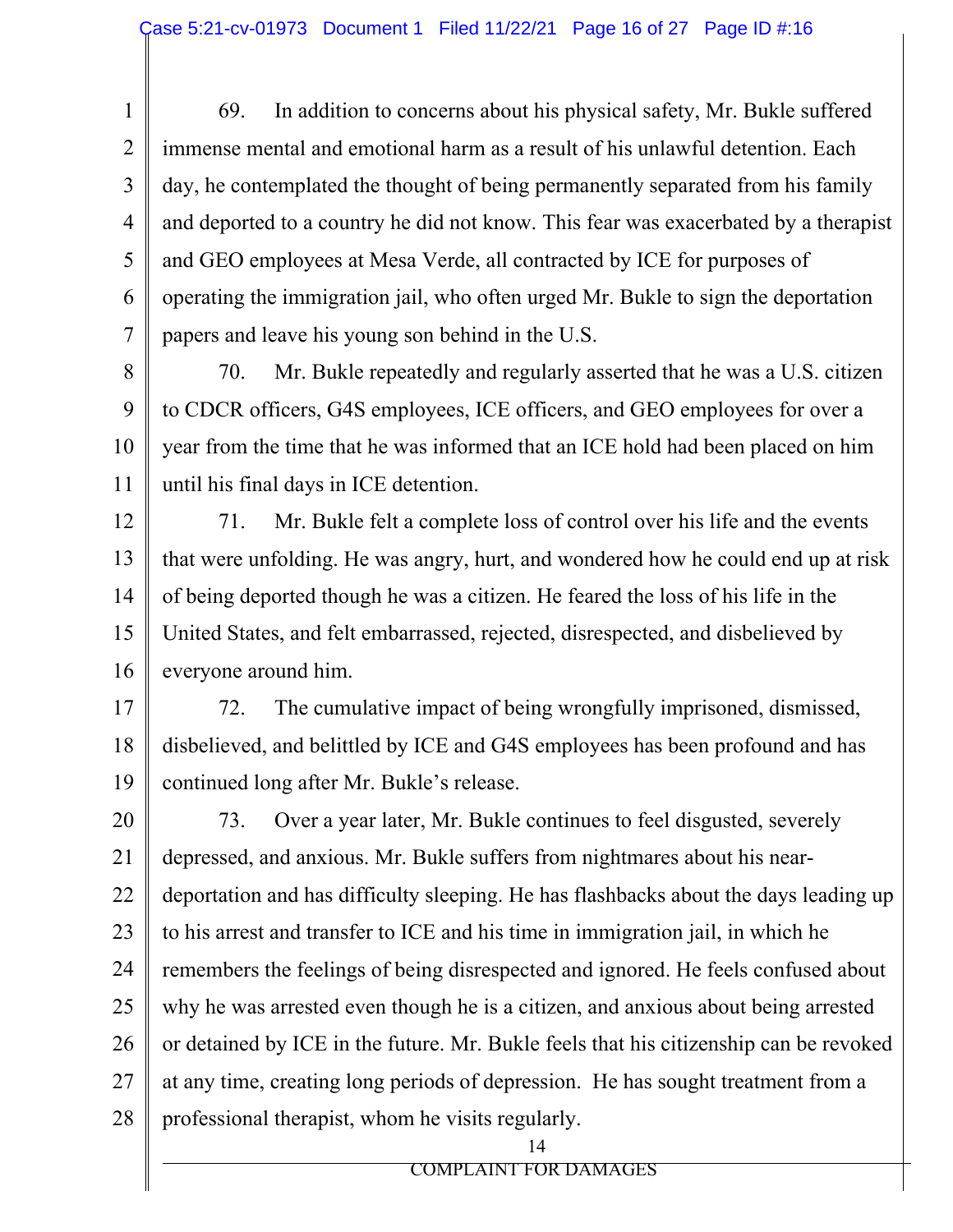1

7

2 3 4 5 6 69. In addition to concerns about his physical safety, Mr. Bukle suffered immense mental and emotional harm as a result of his unlawful detention. Each day, he contemplated the thought of being permanently separated from his family and deported to a country he did not know. This fear was exacerbated by a therapist and GEO employees at Mesa Verde, all contracted by ICE for purposes of operating the immigration jail, who often urged Mr. Bukle to sign the deportation papers and leave his young son behind in the U.S.

8 9 10 11 70. Mr. Bukle repeatedly and regularly asserted that he was a U.S. citizen to CDCR officers, G4S employees, ICE officers, and GEO employees for over a year from the time that he was informed that an ICE hold had been placed on him until his final days in ICE detention.

12 13 14 15 16 71. Mr. Bukle felt a complete loss of control over his life and the events that were unfolding. He was angry, hurt, and wondered how he could end up at risk of being deported though he was a citizen. He feared the loss of his life in the United States, and felt embarrassed, rejected, disrespected, and disbelieved by everyone around him.

17 18 19 72. The cumulative impact of being wrongfully imprisoned, dismissed, disbelieved, and belittled by ICE and G4S employees has been profound and has continued long after Mr. Bukle's release.

20 21 22 23 24 25 26 27 28 73. Over a year later, Mr. Bukle continues to feel disgusted, severely depressed, and anxious. Mr. Bukle suffers from nightmares about his neardeportation and has difficulty sleeping. He has flashbacks about the days leading up to his arrest and transfer to ICE and his time in immigration jail, in which he remembers the feelings of being disrespected and ignored. He feels confused about why he was arrested even though he is a citizen, and anxious about being arrested or detained by ICE in the future. Mr. Bukle feels that his citizenship can be revoked at any time, creating long periods of depression. He has sought treatment from a professional therapist, whom he visits regularly.

14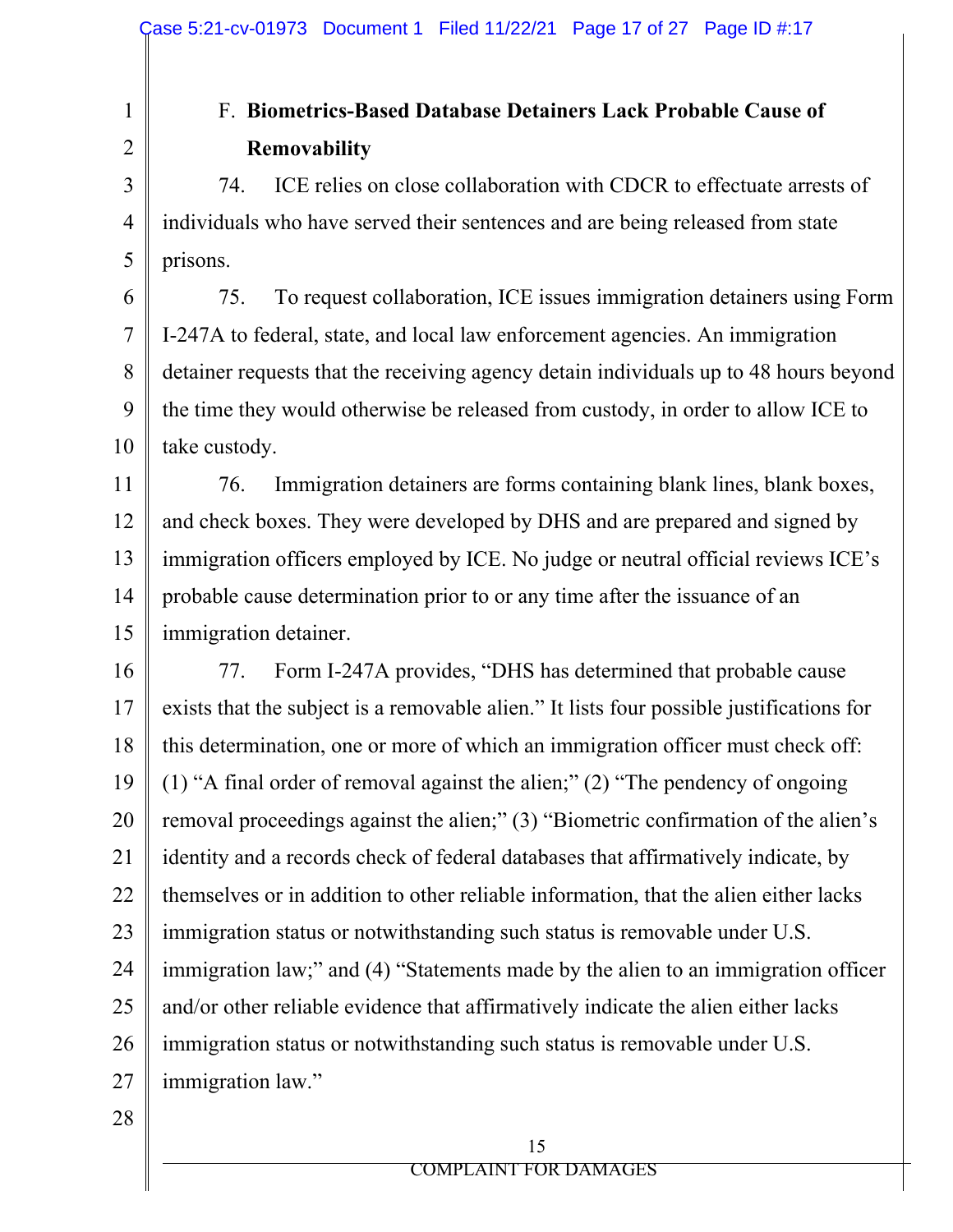# F. **Biometrics-Based Database Detainers Lack Probable Cause of Removability**

74. ICE relies on close collaboration with CDCR to effectuate arrests of individuals who have served their sentences and are being released from state prisons.

6 7 8 9 10 75. To request collaboration, ICE issues immigration detainers using Form I-247A to federal, state, and local law enforcement agencies. An immigration detainer requests that the receiving agency detain individuals up to 48 hours beyond the time they would otherwise be released from custody, in order to allow ICE to take custody.

11 12 13 14 15 76. Immigration detainers are forms containing blank lines, blank boxes, and check boxes. They were developed by DHS and are prepared and signed by immigration officers employed by ICE. No judge or neutral official reviews ICE's probable cause determination prior to or any time after the issuance of an immigration detainer.

16 17 18 19 20 21 22 23 24 25 26 27 77. Form I-247A provides, "DHS has determined that probable cause exists that the subject is a removable alien." It lists four possible justifications for this determination, one or more of which an immigration officer must check off: (1) "A final order of removal against the alien;" (2) "The pendency of ongoing removal proceedings against the alien;" (3) "Biometric confirmation of the alien's identity and a records check of federal databases that affirmatively indicate, by themselves or in addition to other reliable information, that the alien either lacks immigration status or notwithstanding such status is removable under U.S. immigration law;" and (4) "Statements made by the alien to an immigration officer and/or other reliable evidence that affirmatively indicate the alien either lacks immigration status or notwithstanding such status is removable under U.S. immigration law."

28

1

2

3

4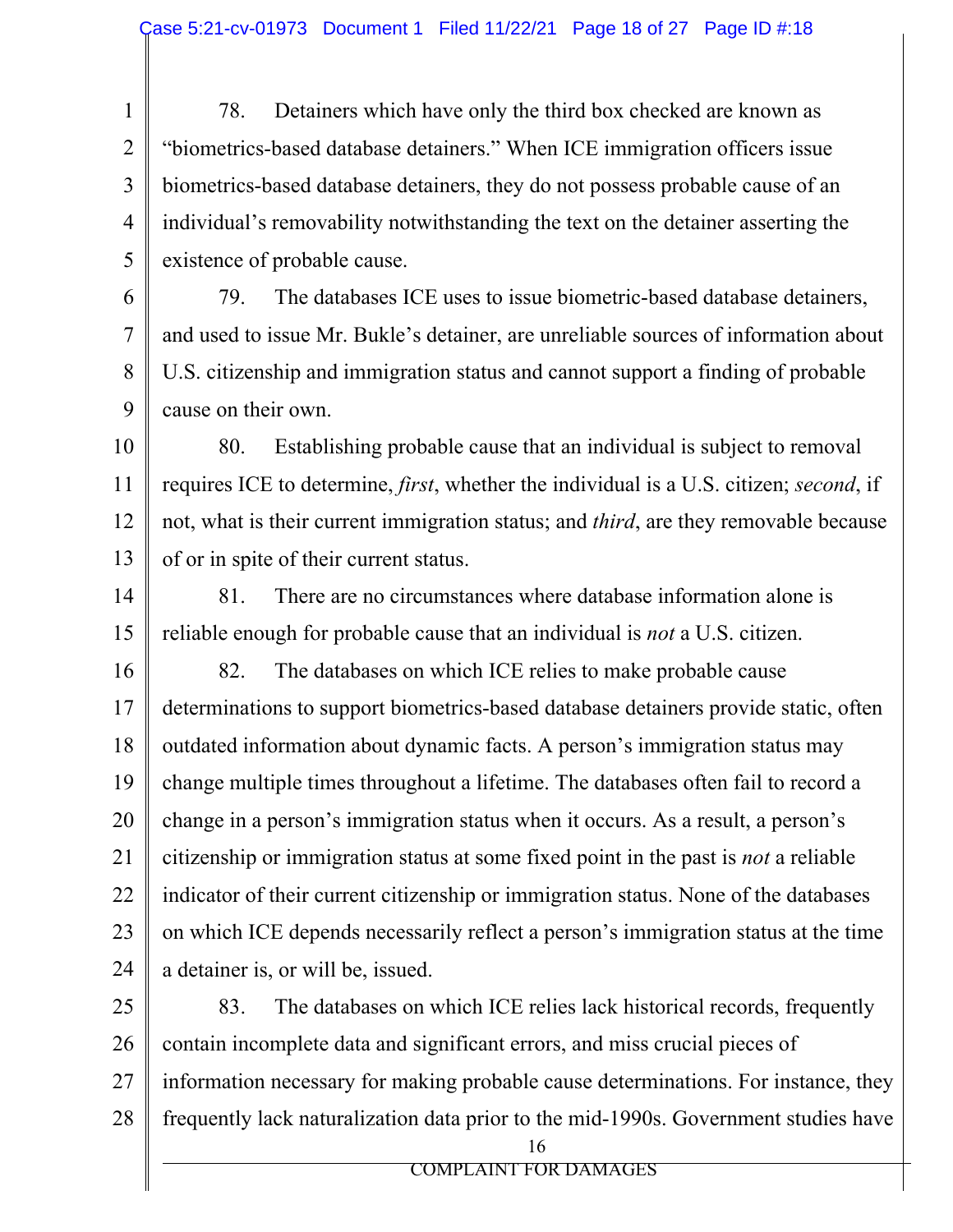1 2 3 4 5 78. Detainers which have only the third box checked are known as "biometrics-based database detainers." When ICE immigration officers issue biometrics-based database detainers, they do not possess probable cause of an individual's removability notwithstanding the text on the detainer asserting the existence of probable cause.

6

7

8

9

79. The databases ICE uses to issue biometric-based database detainers, and used to issue Mr. Bukle's detainer, are unreliable sources of information about U.S. citizenship and immigration status and cannot support a finding of probable cause on their own.

10 11 12 13 80. Establishing probable cause that an individual is subject to removal requires ICE to determine, *first*, whether the individual is a U.S. citizen; *second*, if not, what is their current immigration status; and *third*, are they removable because of or in spite of their current status.

14 15 81. There are no circumstances where database information alone is reliable enough for probable cause that an individual is *not* a U.S. citizen.

16 17 18 19 20 21 22 23 24 82. The databases on which ICE relies to make probable cause determinations to support biometrics-based database detainers provide static, often outdated information about dynamic facts. A person's immigration status may change multiple times throughout a lifetime. The databases often fail to record a change in a person's immigration status when it occurs. As a result, a person's citizenship or immigration status at some fixed point in the past is *not* a reliable indicator of their current citizenship or immigration status. None of the databases on which ICE depends necessarily reflect a person's immigration status at the time a detainer is, or will be, issued.

25 26 27 28 16 83. The databases on which ICE relies lack historical records, frequently contain incomplete data and significant errors, and miss crucial pieces of information necessary for making probable cause determinations. For instance, they frequently lack naturalization data prior to the mid-1990s. Government studies have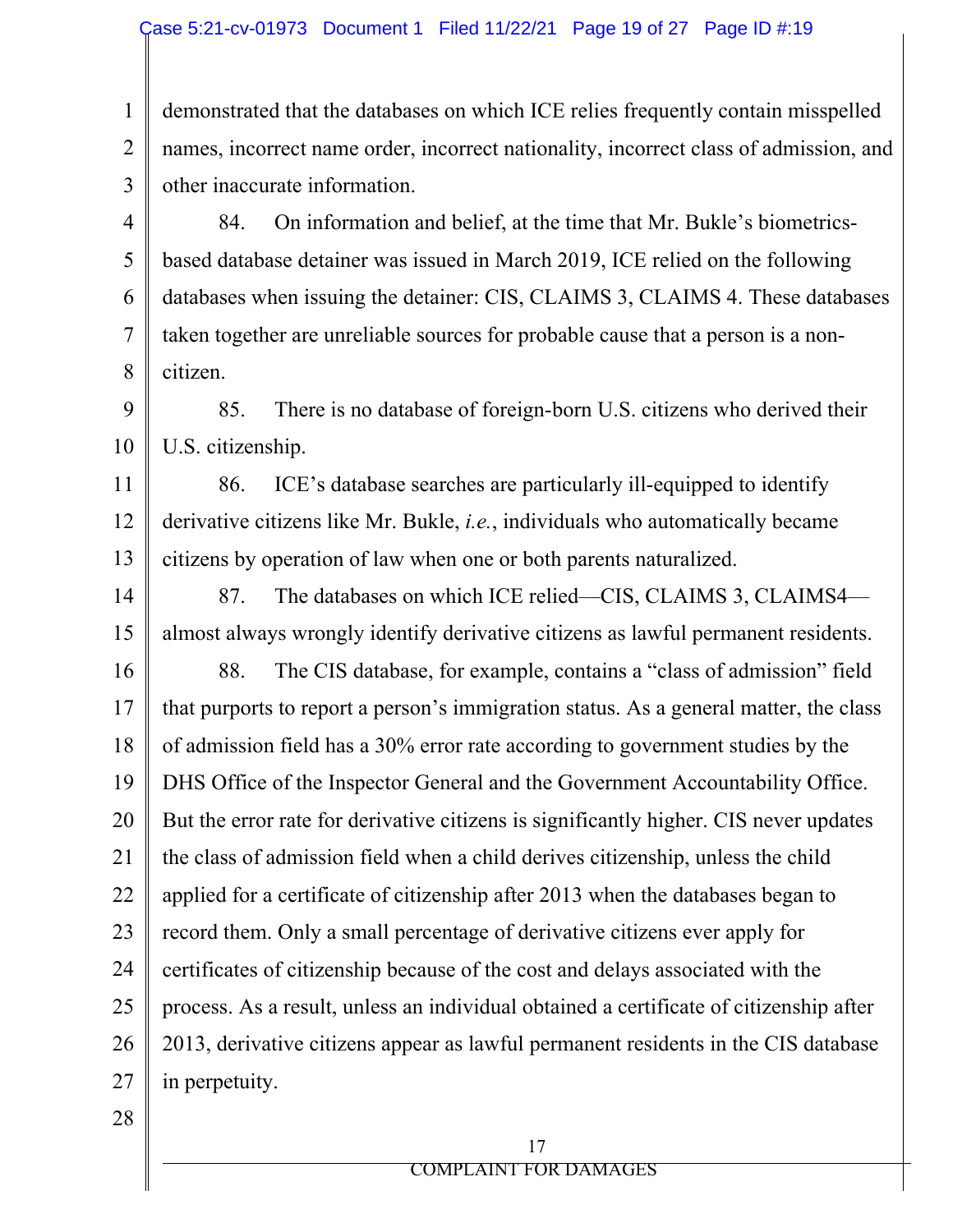1 2 3 4 5 6 7 8 9 10 11 12 13 14 15 16 17 18 19 20 21 22 23 24 25 demonstrated that the databases on which ICE relies frequently contain misspelled names, incorrect name order, incorrect nationality, incorrect class of admission, and other inaccurate information. 84. On information and belief, at the time that Mr. Bukle's biometricsbased database detainer was issued in March 2019, ICE relied on the following databases when issuing the detainer: CIS, CLAIMS 3, CLAIMS 4. These databases taken together are unreliable sources for probable cause that a person is a noncitizen. 85. There is no database of foreign-born U.S. citizens who derived their U.S. citizenship. 86. ICE's database searches are particularly ill-equipped to identify derivative citizens like Mr. Bukle, *i.e.*, individuals who automatically became citizens by operation of law when one or both parents naturalized. 87. The databases on which ICE relied—CIS, CLAIMS 3, CLAIMS4 almost always wrongly identify derivative citizens as lawful permanent residents. 88. The CIS database, for example, contains a "class of admission" field that purports to report a person's immigration status. As a general matter, the class of admission field has a 30% error rate according to government studies by the DHS Office of the Inspector General and the Government Accountability Office. But the error rate for derivative citizens is significantly higher. CIS never updates the class of admission field when a child derives citizenship, unless the child applied for a certificate of citizenship after 2013 when the databases began to record them. Only a small percentage of derivative citizens ever apply for certificates of citizenship because of the cost and delays associated with the process. As a result, unless an individual obtained a certificate of citizenship after

26 27 2013, derivative citizens appear as lawful permanent residents in the CIS database in perpetuity.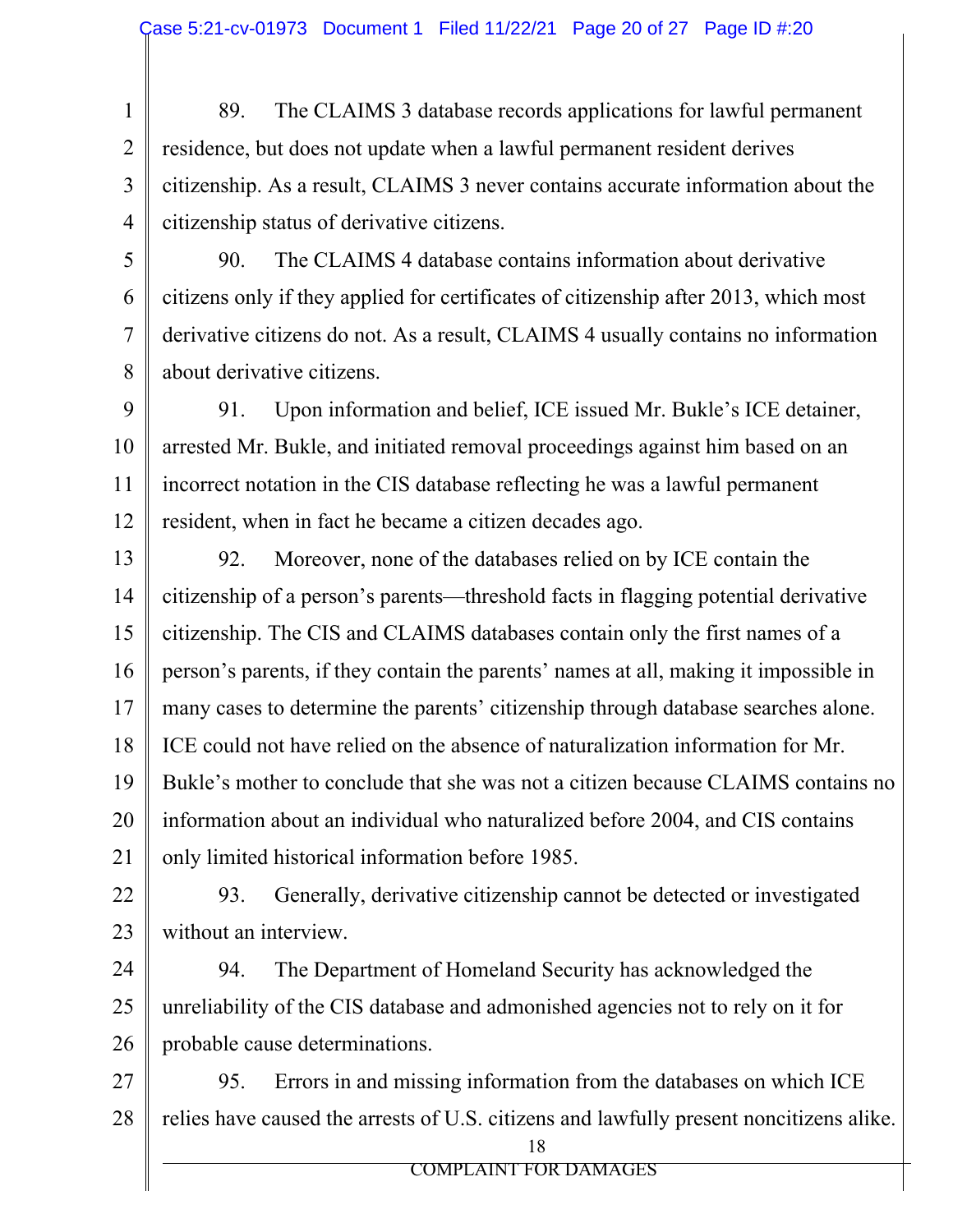1 2 3 4 89. The CLAIMS 3 database records applications for lawful permanent residence, but does not update when a lawful permanent resident derives citizenship. As a result, CLAIMS 3 never contains accurate information about the citizenship status of derivative citizens.

5 6

7

8

90. The CLAIMS 4 database contains information about derivative citizens only if they applied for certificates of citizenship after 2013, which most derivative citizens do not. As a result, CLAIMS 4 usually contains no information about derivative citizens.

9 10 11 12 91. Upon information and belief, ICE issued Mr. Bukle's ICE detainer, arrested Mr. Bukle, and initiated removal proceedings against him based on an incorrect notation in the CIS database reflecting he was a lawful permanent resident, when in fact he became a citizen decades ago.

13 14 15 16 17 18 19 20 21 92. Moreover, none of the databases relied on by ICE contain the citizenship of a person's parents—threshold facts in flagging potential derivative citizenship. The CIS and CLAIMS databases contain only the first names of a person's parents, if they contain the parents' names at all, making it impossible in many cases to determine the parents' citizenship through database searches alone. ICE could not have relied on the absence of naturalization information for Mr. Bukle's mother to conclude that she was not a citizen because CLAIMS contains no information about an individual who naturalized before 2004, and CIS contains only limited historical information before 1985.

22 23 93. Generally, derivative citizenship cannot be detected or investigated without an interview.

24 25 26 94. The Department of Homeland Security has acknowledged the unreliability of the CIS database and admonished agencies not to rely on it for probable cause determinations.

27 28 18 95. Errors in and missing information from the databases on which ICE relies have caused the arrests of U.S. citizens and lawfully present noncitizens alike.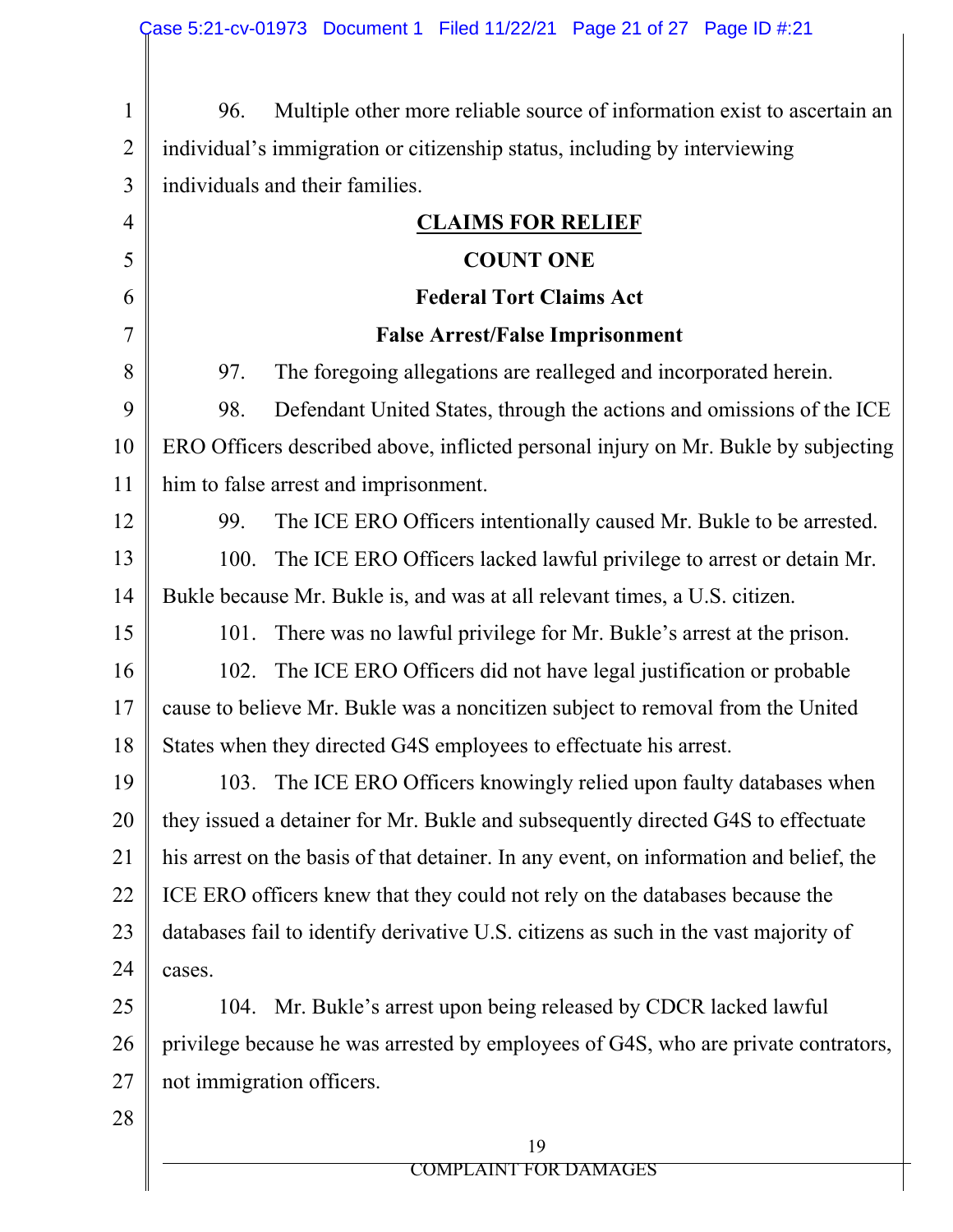| $\mathbf{1}$   | Multiple other more reliable source of information exist to ascertain an<br>96.        |  |  |  |  |
|----------------|----------------------------------------------------------------------------------------|--|--|--|--|
| $\overline{2}$ | individual's immigration or citizenship status, including by interviewing              |  |  |  |  |
| 3              | individuals and their families.                                                        |  |  |  |  |
| $\overline{4}$ | <b>CLAIMS FOR RELIEF</b>                                                               |  |  |  |  |
| 5              | <b>COUNT ONE</b>                                                                       |  |  |  |  |
| 6              | <b>Federal Tort Claims Act</b>                                                         |  |  |  |  |
| 7              | <b>False Arrest/False Imprisonment</b>                                                 |  |  |  |  |
| 8              | The foregoing allegations are realleged and incorporated herein.<br>97.                |  |  |  |  |
| 9              | Defendant United States, through the actions and omissions of the ICE<br>98.           |  |  |  |  |
| 10             | ERO Officers described above, inflicted personal injury on Mr. Bukle by subjecting     |  |  |  |  |
| 11             | him to false arrest and imprisonment.                                                  |  |  |  |  |
| 12             | The ICE ERO Officers intentionally caused Mr. Bukle to be arrested.<br>99.             |  |  |  |  |
| 13             | The ICE ERO Officers lacked lawful privilege to arrest or detain Mr.<br>100.           |  |  |  |  |
| 14             | Bukle because Mr. Bukle is, and was at all relevant times, a U.S. citizen.             |  |  |  |  |
| 15             | There was no lawful privilege for Mr. Bukle's arrest at the prison.<br>101.            |  |  |  |  |
| 16             | 102.<br>The ICE ERO Officers did not have legal justification or probable              |  |  |  |  |
| 17             | cause to believe Mr. Bukle was a noncitizen subject to removal from the United         |  |  |  |  |
| 18             | States when they directed G4S employees to effectuate his arrest.                      |  |  |  |  |
| 19             | 103. The ICE ERO Officers knowingly relied upon faulty databases when                  |  |  |  |  |
| 20             | they issued a detainer for Mr. Bukle and subsequently directed G4S to effectuate       |  |  |  |  |
| 21             | his arrest on the basis of that detainer. In any event, on information and belief, the |  |  |  |  |
| 22             | ICE ERO officers knew that they could not rely on the databases because the            |  |  |  |  |
| 23             | databases fail to identify derivative U.S. citizens as such in the vast majority of    |  |  |  |  |
| 24             | cases.                                                                                 |  |  |  |  |
| 25             | 104. Mr. Bukle's arrest upon being released by CDCR lacked lawful                      |  |  |  |  |
| 26             | privilege because he was arrested by employees of G4S, who are private contrators,     |  |  |  |  |
| 27             | not immigration officers.                                                              |  |  |  |  |
| 28             |                                                                                        |  |  |  |  |
|                | 19                                                                                     |  |  |  |  |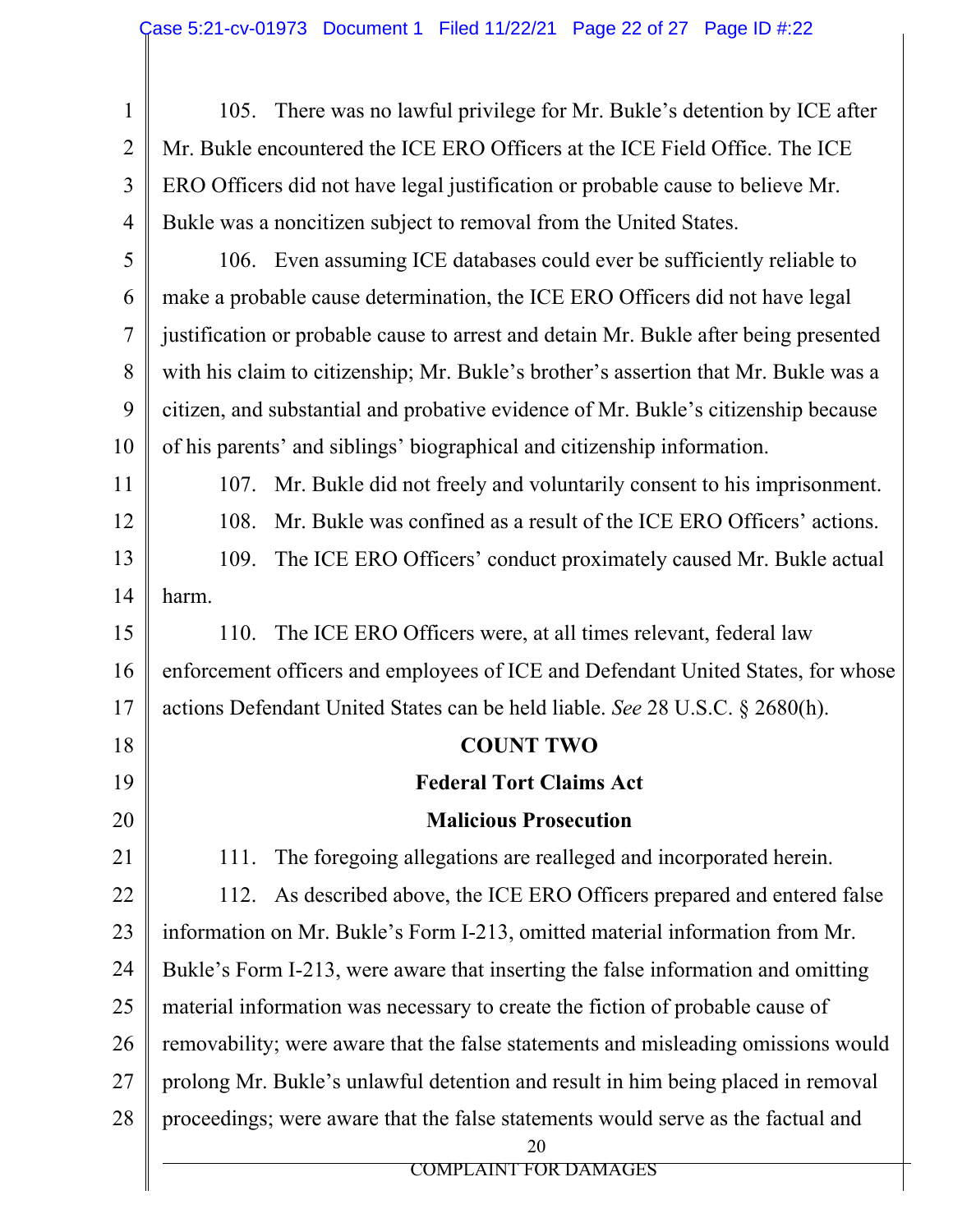1 2 3 4 5 6 7 8 9 10 11 12 13 14 15 16 17 18 19 20 21 22 23 24 25 26 27 28 20 COMPLAINT FOR DAMAGES 105. There was no lawful privilege for Mr. Bukle's detention by ICE after Mr. Bukle encountered the ICE ERO Officers at the ICE Field Office. The ICE ERO Officers did not have legal justification or probable cause to believe Mr. Bukle was a noncitizen subject to removal from the United States. 106. Even assuming ICE databases could ever be sufficiently reliable to make a probable cause determination, the ICE ERO Officers did not have legal justification or probable cause to arrest and detain Mr. Bukle after being presented with his claim to citizenship; Mr. Bukle's brother's assertion that Mr. Bukle was a citizen, and substantial and probative evidence of Mr. Bukle's citizenship because of his parents' and siblings' biographical and citizenship information. 107. Mr. Bukle did not freely and voluntarily consent to his imprisonment. 108. Mr. Bukle was confined as a result of the ICE ERO Officers' actions. 109. The ICE ERO Officers' conduct proximately caused Mr. Bukle actual harm. 110. The ICE ERO Officers were, at all times relevant, federal law enforcement officers and employees of ICE and Defendant United States, for whose actions Defendant United States can be held liable. *See* 28 U.S.C. § 2680(h). **COUNT TWO Federal Tort Claims Act Malicious Prosecution**  111. The foregoing allegations are realleged and incorporated herein. 112. As described above, the ICE ERO Officers prepared and entered false information on Mr. Bukle's Form I-213, omitted material information from Mr. Bukle's Form I-213, were aware that inserting the false information and omitting material information was necessary to create the fiction of probable cause of removability; were aware that the false statements and misleading omissions would prolong Mr. Bukle's unlawful detention and result in him being placed in removal proceedings; were aware that the false statements would serve as the factual and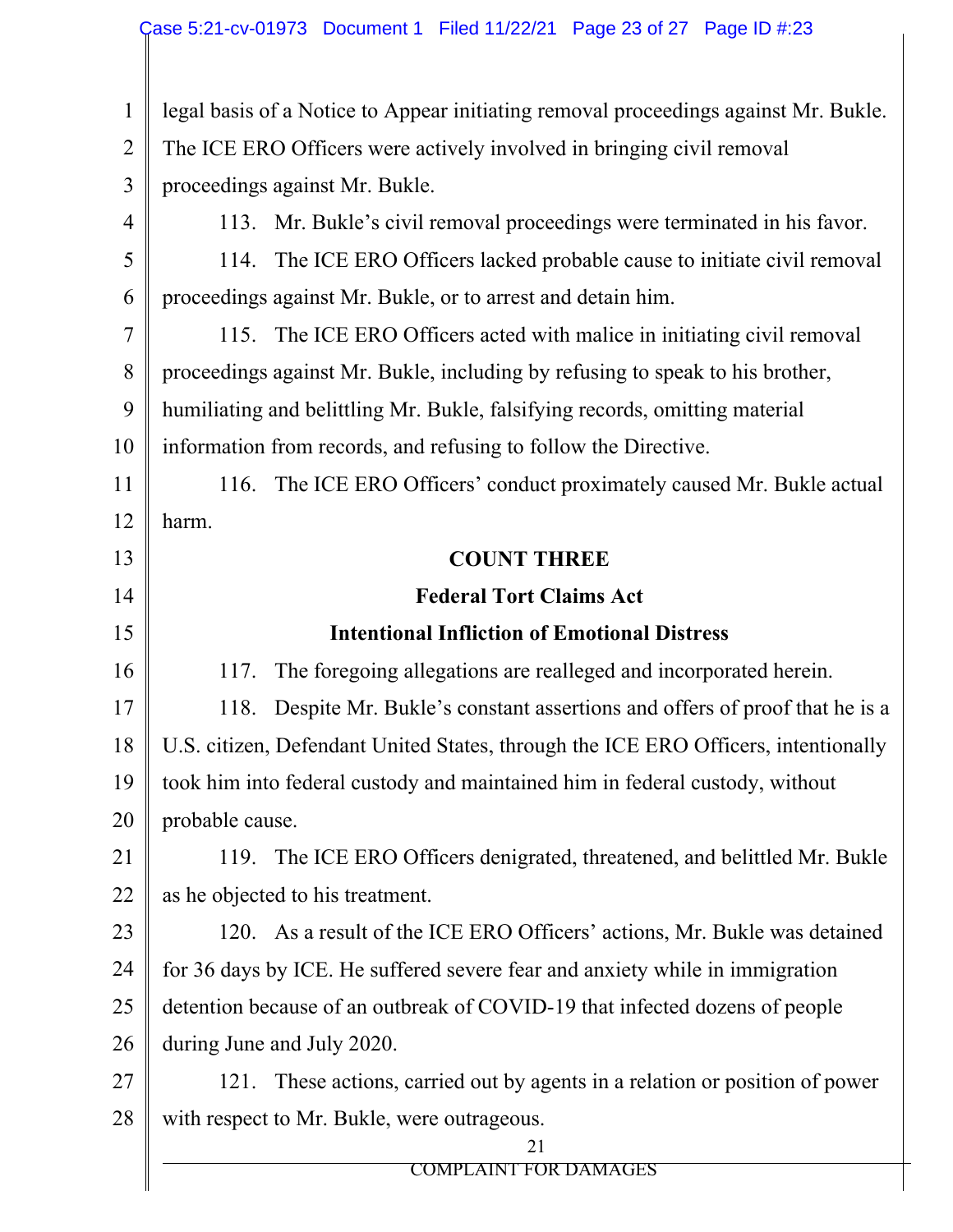| $\mathbf{1}$   | legal basis of a Notice to Appear initiating removal proceedings against Mr. Bukle. |  |  |  |
|----------------|-------------------------------------------------------------------------------------|--|--|--|
| $\overline{2}$ | The ICE ERO Officers were actively involved in bringing civil removal               |  |  |  |
| 3              | proceedings against Mr. Bukle.                                                      |  |  |  |
| $\overline{4}$ | 113. Mr. Bukle's civil removal proceedings were terminated in his favor.            |  |  |  |
| 5              | 114. The ICE ERO Officers lacked probable cause to initiate civil removal           |  |  |  |
| 6              | proceedings against Mr. Bukle, or to arrest and detain him.                         |  |  |  |
| 7              | 115. The ICE ERO Officers acted with malice in initiating civil removal             |  |  |  |
| 8              | proceedings against Mr. Bukle, including by refusing to speak to his brother,       |  |  |  |
| 9              | humiliating and belittling Mr. Bukle, falsifying records, omitting material         |  |  |  |
| 10             | information from records, and refusing to follow the Directive.                     |  |  |  |
| 11             | The ICE ERO Officers' conduct proximately caused Mr. Bukle actual<br>116.           |  |  |  |
| 12             | harm.                                                                               |  |  |  |
| 13             | <b>COUNT THREE</b>                                                                  |  |  |  |
| 14             | <b>Federal Tort Claims Act</b>                                                      |  |  |  |
| 15             | <b>Intentional Infliction of Emotional Distress</b>                                 |  |  |  |
| 16             | The foregoing allegations are realleged and incorporated herein.<br>117.            |  |  |  |
| 17             | Despite Mr. Bukle's constant assertions and offers of proof that he is a<br>118.    |  |  |  |
| 18             | U.S. citizen, Defendant United States, through the ICE ERO Officers, intentionally  |  |  |  |
| 19             | took him into federal custody and maintained him in federal custody, without        |  |  |  |
| 20             | probable cause.                                                                     |  |  |  |
| 21             | 119. The ICE ERO Officers denigrated, threatened, and belittled Mr. Bukle           |  |  |  |
| 22             | as he objected to his treatment.                                                    |  |  |  |
| 23             | 120. As a result of the ICE ERO Officers' actions, Mr. Bukle was detained           |  |  |  |
| 24             | for 36 days by ICE. He suffered severe fear and anxiety while in immigration        |  |  |  |
| 25             | detention because of an outbreak of COVID-19 that infected dozens of people         |  |  |  |
| 26             | during June and July 2020.                                                          |  |  |  |
| 27             | These actions, carried out by agents in a relation or position of power<br>121.     |  |  |  |
| 28             | with respect to Mr. Bukle, were outrageous.                                         |  |  |  |
|                | 21<br><b>COMPLAINT FOR DAMAGES</b>                                                  |  |  |  |
|                |                                                                                     |  |  |  |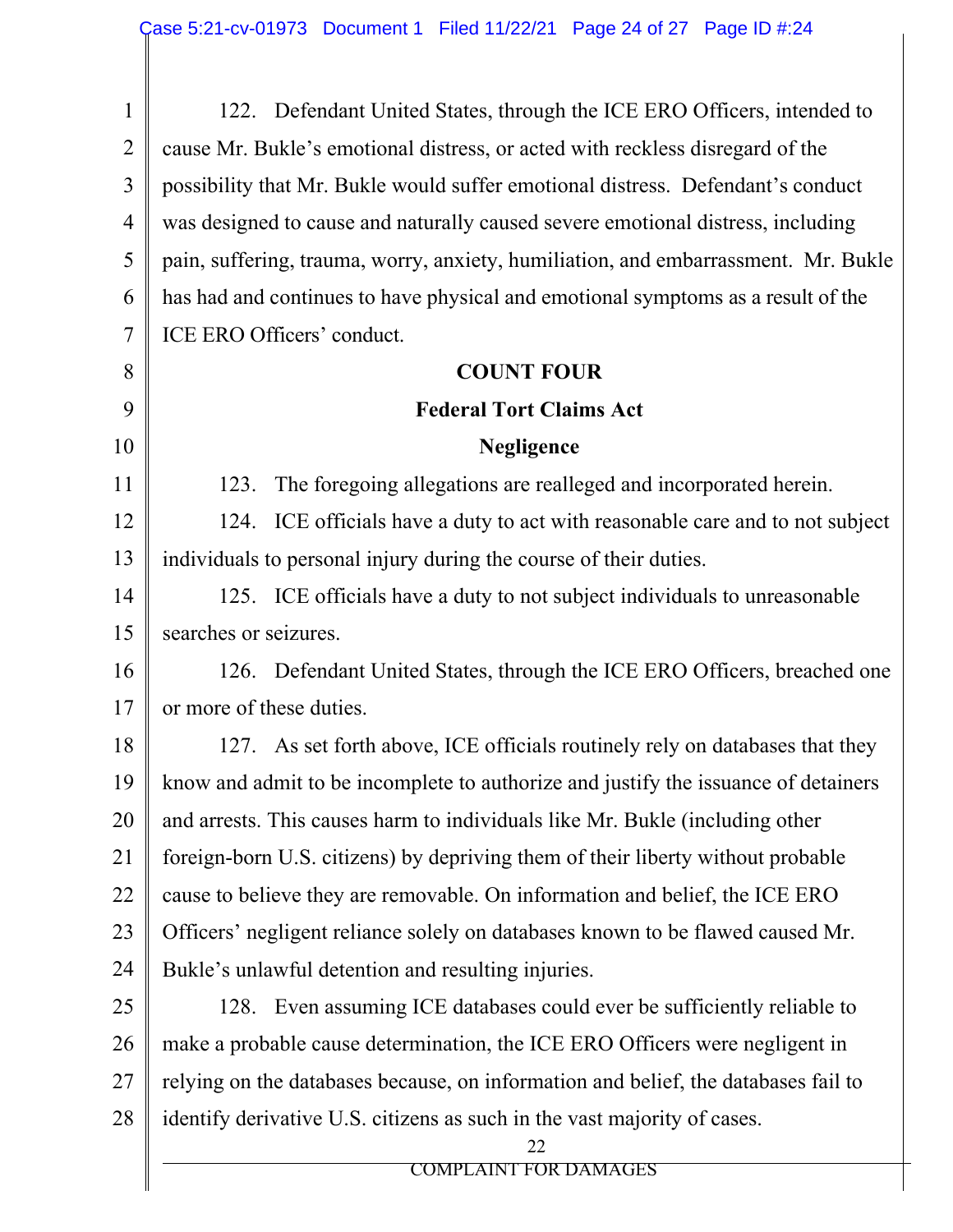| $\mathbf{1}$   | 122. Defendant United States, through the ICE ERO Officers, intended to            |  |  |  |
|----------------|------------------------------------------------------------------------------------|--|--|--|
| $\overline{2}$ | cause Mr. Bukle's emotional distress, or acted with reckless disregard of the      |  |  |  |
| 3              | possibility that Mr. Bukle would suffer emotional distress. Defendant's conduct    |  |  |  |
| $\overline{4}$ | was designed to cause and naturally caused severe emotional distress, including    |  |  |  |
| 5              | pain, suffering, trauma, worry, anxiety, humiliation, and embarrassment. Mr. Bukle |  |  |  |
| 6              | has had and continues to have physical and emotional symptoms as a result of the   |  |  |  |
| 7              | ICE ERO Officers' conduct.                                                         |  |  |  |
| 8              | <b>COUNT FOUR</b>                                                                  |  |  |  |
| 9              | <b>Federal Tort Claims Act</b>                                                     |  |  |  |
| 10             | <b>Negligence</b>                                                                  |  |  |  |
| 11             | The foregoing allegations are realleged and incorporated herein.<br>123.           |  |  |  |
| 12             | 124. ICE officials have a duty to act with reasonable care and to not subject      |  |  |  |
| 13             | individuals to personal injury during the course of their duties.                  |  |  |  |
| 14             | 125. ICE officials have a duty to not subject individuals to unreasonable          |  |  |  |
| 15             | searches or seizures.                                                              |  |  |  |
| 16             | 126. Defendant United States, through the ICE ERO Officers, breached one           |  |  |  |
| 17             | or more of these duties.                                                           |  |  |  |
| 18             | 127. As set forth above, ICE officials routinely rely on databases that they       |  |  |  |
| 19             | know and admit to be incomplete to authorize and justify the issuance of detainers |  |  |  |
| 20             | and arrests. This causes harm to individuals like Mr. Bukle (including other       |  |  |  |
| 21             | foreign-born U.S. citizens) by depriving them of their liberty without probable    |  |  |  |
| 22             | cause to believe they are removable. On information and belief, the ICE ERO        |  |  |  |
| 23             | Officers' negligent reliance solely on databases known to be flawed caused Mr.     |  |  |  |
| 24             | Bukle's unlawful detention and resulting injuries.                                 |  |  |  |
| 25             | 128. Even assuming ICE databases could ever be sufficiently reliable to            |  |  |  |
| 26             | make a probable cause determination, the ICE ERO Officers were negligent in        |  |  |  |
| 27             | relying on the databases because, on information and belief, the databases fail to |  |  |  |
| 28             | identify derivative U.S. citizens as such in the vast majority of cases.           |  |  |  |
|                | 22<br><b>COMPLAINT FOR DAMAGES</b>                                                 |  |  |  |
|                |                                                                                    |  |  |  |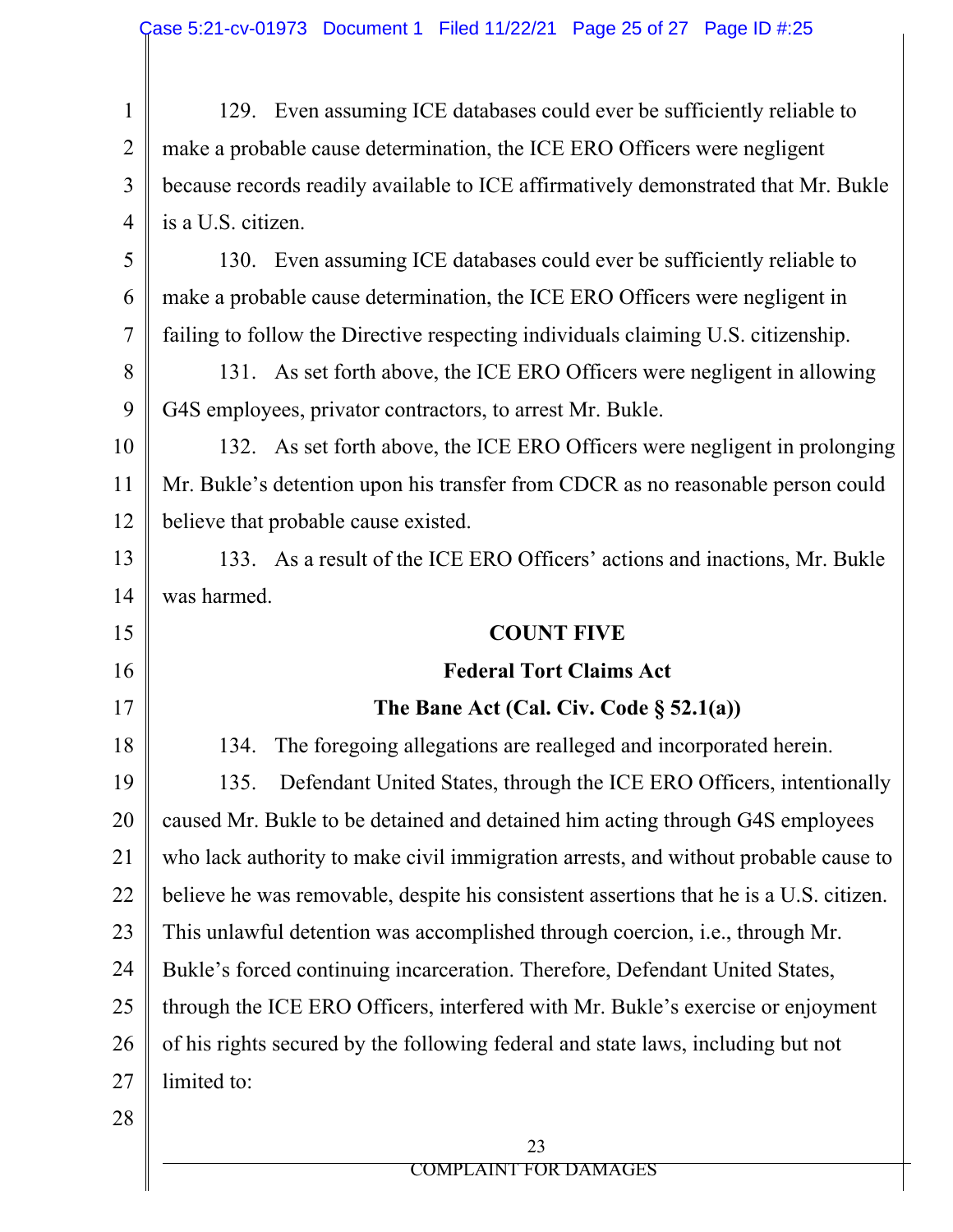1 2 3 4 5 6 7 8 9 10 11 12 13 14 129. Even assuming ICE databases could ever be sufficiently reliable to make a probable cause determination, the ICE ERO Officers were negligent because records readily available to ICE affirmatively demonstrated that Mr. Bukle is a U.S. citizen. 130. Even assuming ICE databases could ever be sufficiently reliable to make a probable cause determination, the ICE ERO Officers were negligent in failing to follow the Directive respecting individuals claiming U.S. citizenship. 131. As set forth above, the ICE ERO Officers were negligent in allowing G4S employees, privator contractors, to arrest Mr. Bukle. 132. As set forth above, the ICE ERO Officers were negligent in prolonging Mr. Bukle's detention upon his transfer from CDCR as no reasonable person could believe that probable cause existed. 133. As a result of the ICE ERO Officers' actions and inactions, Mr. Bukle was harmed.

#### **COUNT FIVE**

15

16

17

## **Federal Tort Claims Act**

### **The Bane Act (Cal. Civ. Code § 52.1(a))**

18 19 20 21 22 23 24 25 26 27 28 134. The foregoing allegations are realleged and incorporated herein. 135. Defendant United States, through the ICE ERO Officers, intentionally caused Mr. Bukle to be detained and detained him acting through G4S employees who lack authority to make civil immigration arrests, and without probable cause to believe he was removable, despite his consistent assertions that he is a U.S. citizen. This unlawful detention was accomplished through coercion, i.e., through Mr. Bukle's forced continuing incarceration. Therefore, Defendant United States, through the ICE ERO Officers, interfered with Mr. Bukle's exercise or enjoyment of his rights secured by the following federal and state laws, including but not limited to: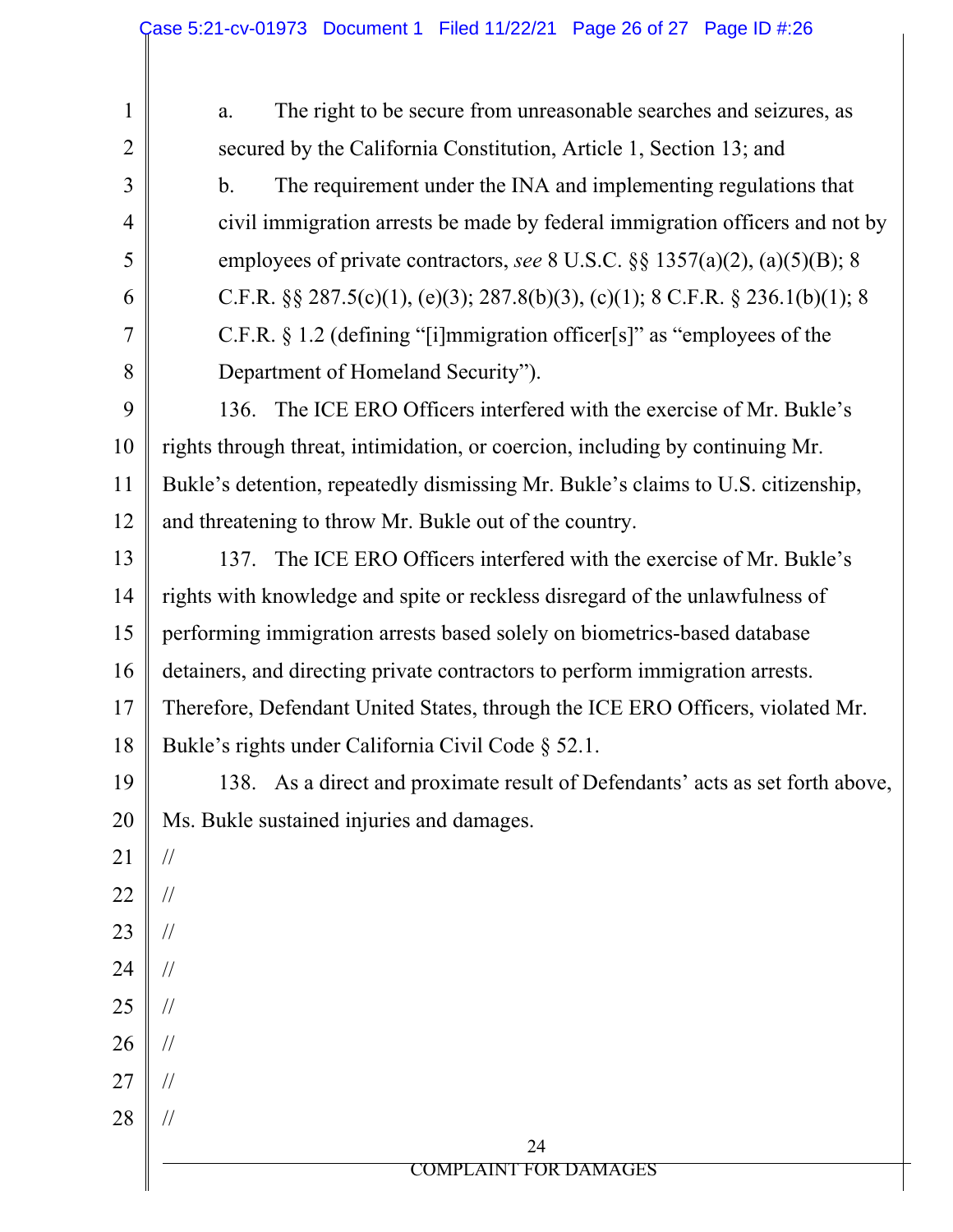| 1              | The right to be secure from unreasonable searches and seizures, as<br>a.           |  |  |  |  |  |
|----------------|------------------------------------------------------------------------------------|--|--|--|--|--|
| $\overline{2}$ | secured by the California Constitution, Article 1, Section 13; and                 |  |  |  |  |  |
| 3              | The requirement under the INA and implementing regulations that<br>$\mathbf{b}$ .  |  |  |  |  |  |
| 4              | civil immigration arrests be made by federal immigration officers and not by       |  |  |  |  |  |
| 5              | employees of private contractors, see 8 U.S.C. §§ 1357(a)(2), (a)(5)(B); 8         |  |  |  |  |  |
| 6              | C.F.R. $\S\S 287.5(c)(1)$ , (e)(3); 287.8(b)(3), (c)(1); 8 C.F.R. § 236.1(b)(1); 8 |  |  |  |  |  |
| 7              | C.F.R. § 1.2 (defining "[i]mmigration officer[s]" as "employees of the             |  |  |  |  |  |
| 8              | Department of Homeland Security").                                                 |  |  |  |  |  |
| 9              | The ICE ERO Officers interfered with the exercise of Mr. Bukle's<br>136.           |  |  |  |  |  |
| 10             | rights through threat, intimidation, or coercion, including by continuing Mr.      |  |  |  |  |  |
| 11             | Bukle's detention, repeatedly dismissing Mr. Bukle's claims to U.S. citizenship,   |  |  |  |  |  |
| 12             | and threatening to throw Mr. Bukle out of the country.                             |  |  |  |  |  |
| 13             | The ICE ERO Officers interfered with the exercise of Mr. Bukle's<br>137.           |  |  |  |  |  |
| 14             | rights with knowledge and spite or reckless disregard of the unlawfulness of       |  |  |  |  |  |
| 15             | performing immigration arrests based solely on biometrics-based database           |  |  |  |  |  |
| 16             | detainers, and directing private contractors to perform immigration arrests.       |  |  |  |  |  |
| 17             | Therefore, Defendant United States, through the ICE ERO Officers, violated Mr.     |  |  |  |  |  |
| 18             | Bukle's rights under California Civil Code § 52.1.                                 |  |  |  |  |  |
| 19             | 138. As a direct and proximate result of Defendants' acts as set forth above,      |  |  |  |  |  |
| 20             | Ms. Bukle sustained injuries and damages.                                          |  |  |  |  |  |
| 21             | $\sqrt{}$                                                                          |  |  |  |  |  |
| 22             | $\sqrt{}$                                                                          |  |  |  |  |  |
| 23             | $\frac{1}{2}$                                                                      |  |  |  |  |  |
| 24             | $\frac{1}{2}$                                                                      |  |  |  |  |  |
| 25             | $\frac{1}{2}$                                                                      |  |  |  |  |  |
| 26             | $\frac{1}{2}$                                                                      |  |  |  |  |  |
| 27             | $\frac{1}{2}$                                                                      |  |  |  |  |  |
| 28             | $\frac{1}{2}$                                                                      |  |  |  |  |  |
|                | 24<br><b>COMPLAINT FOR DAMAGES</b>                                                 |  |  |  |  |  |
|                |                                                                                    |  |  |  |  |  |